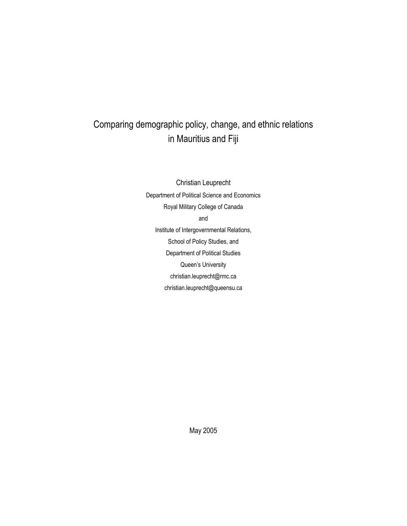# Comparing demographic policy, change, and ethnic relations in Mauritius and Fiji

Christian Leuprecht Department of Political Science and Economics Royal Military College of Canada and Institute of Intergovernmental Relations, School of Policy Studies, and Department of Political Studies Queen's University christian.leuprecht@rmc.ca christian.leuprecht@queensu.ca

May 2005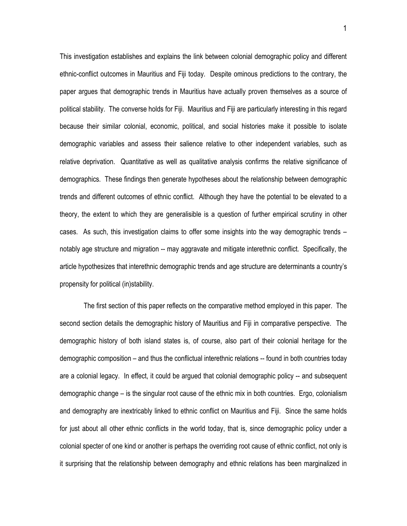This investigation establishes and explains the link between colonial demographic policy and different ethnic-conflict outcomes in Mauritius and Fiji today. Despite ominous predictions to the contrary, the paper argues that demographic trends in Mauritius have actually proven themselves as a source of political stability. The converse holds for Fiji. Mauritius and Fiji are particularly interesting in this regard because their similar colonial, economic, political, and social histories make it possible to isolate demographic variables and assess their salience relative to other independent variables, such as relative deprivation. Quantitative as well as qualitative analysis confirms the relative significance of demographics. These findings then generate hypotheses about the relationship between demographic trends and different outcomes of ethnic conflict. Although they have the potential to be elevated to a theory, the extent to which they are generalisible is a question of further empirical scrutiny in other cases. As such, this investigation claims to offer some insights into the way demographic trends – notably age structure and migration -- may aggravate and mitigate interethnic conflict. Specifically, the article hypothesizes that interethnic demographic trends and age structure are determinants a country's propensity for political (in)stability.

The first section of this paper reflects on the comparative method employed in this paper. The second section details the demographic history of Mauritius and Fiji in comparative perspective. The demographic history of both island states is, of course, also part of their colonial heritage for the demographic composition – and thus the conflictual interethnic relations -- found in both countries today are a colonial legacy. In effect, it could be argued that colonial demographic policy -- and subsequent demographic change – is the singular root cause of the ethnic mix in both countries. Ergo, colonialism and demography are inextricably linked to ethnic conflict on Mauritius and Fiji. Since the same holds for just about all other ethnic conflicts in the world today, that is, since demographic policy under a colonial specter of one kind or another is perhaps the overriding root cause of ethnic conflict, not only is it surprising that the relationship between demography and ethnic relations has been marginalized in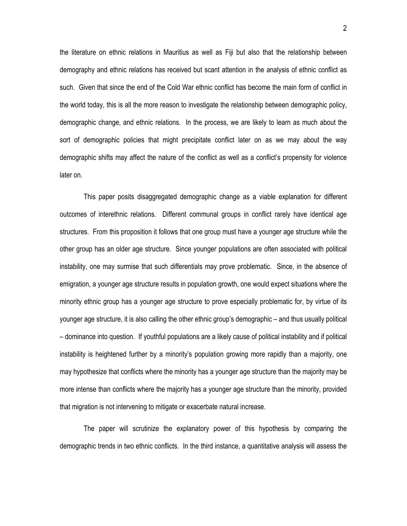the literature on ethnic relations in Mauritius as well as Fiji but also that the relationship between demography and ethnic relations has received but scant attention in the analysis of ethnic conflict as such. Given that since the end of the Cold War ethnic conflict has become the main form of conflict in the world today, this is all the more reason to investigate the relationship between demographic policy, demographic change, and ethnic relations. In the process, we are likely to learn as much about the sort of demographic policies that might precipitate conflict later on as we may about the way demographic shifts may affect the nature of the conflict as well as a conflict's propensity for violence later on.

This paper posits disaggregated demographic change as a viable explanation for different outcomes of interethnic relations. Different communal groups in conflict rarely have identical age structures. From this proposition it follows that one group must have a younger age structure while the other group has an older age structure. Since younger populations are often associated with political instability, one may surmise that such differentials may prove problematic. Since, in the absence of emigration, a younger age structure results in population growth, one would expect situations where the minority ethnic group has a younger age structure to prove especially problematic for, by virtue of its younger age structure, it is also calling the other ethnic group's demographic – and thus usually political – dominance into question. If youthful populations are a likely cause of political instability and if political instability is heightened further by a minority's population growing more rapidly than a majority, one may hypothesize that conflicts where the minority has a younger age structure than the majority may be more intense than conflicts where the majority has a younger age structure than the minority, provided that migration is not intervening to mitigate or exacerbate natural increase.

The paper will scrutinize the explanatory power of this hypothesis by comparing the demographic trends in two ethnic conflicts. In the third instance, a quantitative analysis will assess the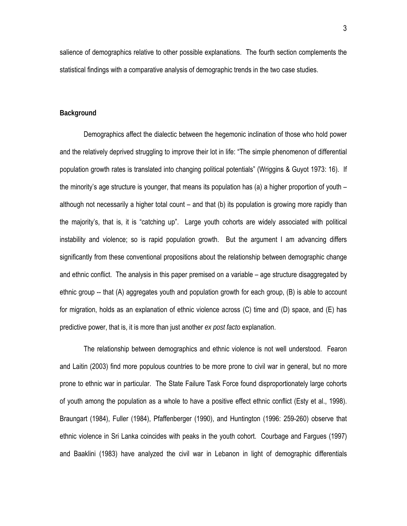salience of demographics relative to other possible explanations. The fourth section complements the statistical findings with a comparative analysis of demographic trends in the two case studies.

#### **Background**

Demographics affect the dialectic between the hegemonic inclination of those who hold power and the relatively deprived struggling to improve their lot in life: "The simple phenomenon of differential population growth rates is translated into changing political potentials" (Wriggins & Guyot 1973: 16). If the minority's age structure is younger, that means its population has (a) a higher proportion of youth – although not necessarily a higher total count – and that (b) its population is growing more rapidly than the majority's, that is, it is "catching up". Large youth cohorts are widely associated with political instability and violence; so is rapid population growth. But the argument I am advancing differs significantly from these conventional propositions about the relationship between demographic change and ethnic conflict. The analysis in this paper premised on a variable – age structure disaggregated by ethnic group -- that (A) aggregates youth and population growth for each group, (B) is able to account for migration, holds as an explanation of ethnic violence across (C) time and (D) space, and (E) has predictive power, that is, it is more than just another *ex post facto* explanation.

The relationship between demographics and ethnic violence is not well understood. Fearon and Laitin (2003) find more populous countries to be more prone to civil war in general, but no more prone to ethnic war in particular. The State Failure Task Force found disproportionately large cohorts of youth among the population as a whole to have a positive effect ethnic conflict (Esty et al., 1998). Braungart (1984), Fuller (1984), Pfaffenberger (1990), and Huntington (1996: 259-260) observe that ethnic violence in Sri Lanka coincides with peaks in the youth cohort. Courbage and Fargues (1997) and Baaklini (1983) have analyzed the civil war in Lebanon in light of demographic differentials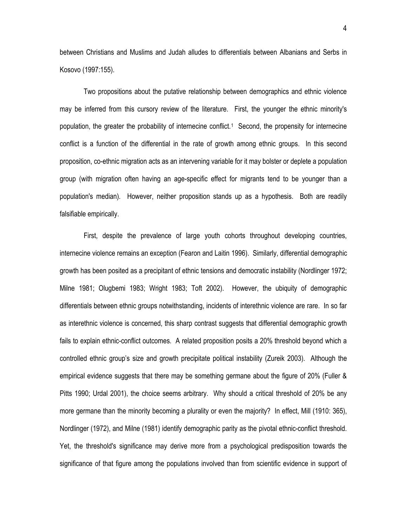between Christians and Muslims and Judah alludes to differentials between Albanians and Serbs in Kosovo (1997:155).

Two propositions about the putative relationship between demographics and ethnic violence may be inferred from this cursory review of the literature. First, the younger the ethnic minority's population, the greater the probability of internecine conflict.[1](#page-58-0) Second, the propensity for internecine conflict is a function of the differential in the rate of growth among ethnic groups. In this second proposition, co-ethnic migration acts as an intervening variable for it may bolster or deplete a population group (with migration often having an age-specific effect for migrants tend to be younger than a population's median). However, neither proposition stands up as a hypothesis. Both are readily falsifiable empirically.

First, despite the prevalence of large youth cohorts throughout developing countries, internecine violence remains an exception (Fearon and Laitin 1996). Similarly, differential demographic growth has been posited as a precipitant of ethnic tensions and democratic instability (Nordlinger 1972; Milne 1981; Olugbemi 1983; Wright 1983; Toft 2002). However, the ubiquity of demographic differentials between ethnic groups notwithstanding, incidents of interethnic violence are rare. In so far as interethnic violence is concerned, this sharp contrast suggests that differential demographic growth fails to explain ethnic-conflict outcomes. A related proposition posits a 20% threshold beyond which a controlled ethnic group's size and growth precipitate political instability (Zureik 2003). Although the empirical evidence suggests that there may be something germane about the figure of 20% (Fuller & Pitts 1990; Urdal 2001), the choice seems arbitrary. Why should a critical threshold of 20% be any more germane than the minority becoming a plurality or even the majority? In effect, Mill (1910: 365), Nordlinger (1972), and Milne (1981) identify demographic parity as the pivotal ethnic-conflict threshold. Yet, the threshold's significance may derive more from a psychological predisposition towards the significance of that figure among the populations involved than from scientific evidence in support of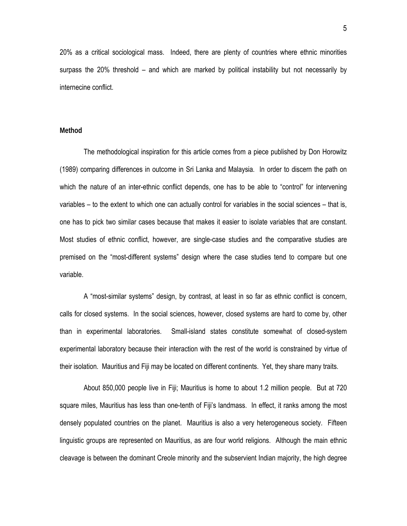20% as a critical sociological mass. Indeed, there are plenty of countries where ethnic minorities surpass the 20% threshold – and which are marked by political instability but not necessarily by internecine conflict.

# **Method**

The methodological inspiration for this article comes from a piece published by Don Horowitz (1989) comparing differences in outcome in Sri Lanka and Malaysia. In order to discern the path on which the nature of an inter-ethnic conflict depends, one has to be able to "control" for intervening variables – to the extent to which one can actually control for variables in the social sciences – that is, one has to pick two similar cases because that makes it easier to isolate variables that are constant. Most studies of ethnic conflict, however, are single-case studies and the comparative studies are premised on the "most-different systems" design where the case studies tend to compare but one variable.

A "most-similar systems" design, by contrast, at least in so far as ethnic conflict is concern, calls for closed systems. In the social sciences, however, closed systems are hard to come by, other than in experimental laboratories. Small-island states constitute somewhat of closed-system experimental laboratory because their interaction with the rest of the world is constrained by virtue of their isolation. Mauritius and Fiji may be located on different continents. Yet, they share many traits.

About 850,000 people live in Fiji; Mauritius is home to about 1.2 million people. But at 720 square miles, Mauritius has less than one-tenth of Fiji's landmass. In effect, it ranks among the most densely populated countries on the planet. Mauritius is also a very heterogeneous society. Fifteen linguistic groups are represented on Mauritius, as are four world religions. Although the main ethnic cleavage is between the dominant Creole minority and the subservient Indian majority, the high degree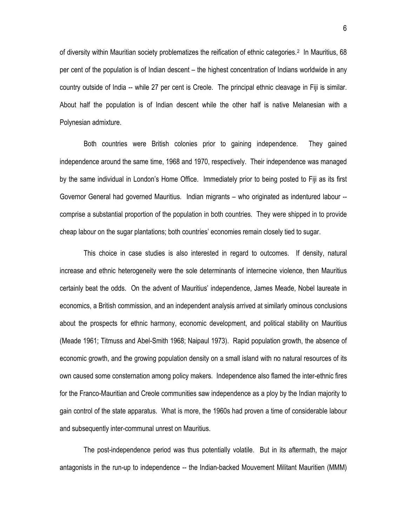of diversity within Mauritian society problematizes the reification of ethnic categories.<sup>2</sup> In Mauritius, 68 per cent of the population is of Indian descent – the highest concentration of Indians worldwide in any country outside of India -- while 27 per cent is Creole. The principal ethnic cleavage in Fiji is similar. About half the population is of Indian descent while the other half is native Melanesian with a Polynesian admixture.

Both countries were British colonies prior to gaining independence. They gained independence around the same time, 1968 and 1970, respectively. Their independence was managed by the same individual in London's Home Office. Immediately prior to being posted to Fiji as its first Governor General had governed Mauritius. Indian migrants – who originated as indentured labour - comprise a substantial proportion of the population in both countries. They were shipped in to provide cheap labour on the sugar plantations; both countries' economies remain closely tied to sugar.

This choice in case studies is also interested in regard to outcomes. If density, natural increase and ethnic heterogeneity were the sole determinants of internecine violence, then Mauritius certainly beat the odds. On the advent of Mauritius' independence, James Meade, Nobel laureate in economics, a British commission, and an independent analysis arrived at similarly ominous conclusions about the prospects for ethnic harmony, economic development, and political stability on Mauritius (Meade 1961; Titmuss and Abel-Smith 1968; Naipaul 1973). Rapid population growth, the absence of economic growth, and the growing population density on a small island with no natural resources of its own caused some consternation among policy makers. Independence also flamed the inter-ethnic fires for the Franco-Mauritian and Creole communities saw independence as a ploy by the Indian majority to gain control of the state apparatus. What is more, the 1960s had proven a time of considerable labour and subsequently inter-communal unrest on Mauritius.

The post-independence period was thus potentially volatile. But in its aftermath, the major antagonists in the run-up to independence -- the Indian-backed Mouvement Militant Mauritien (MMM)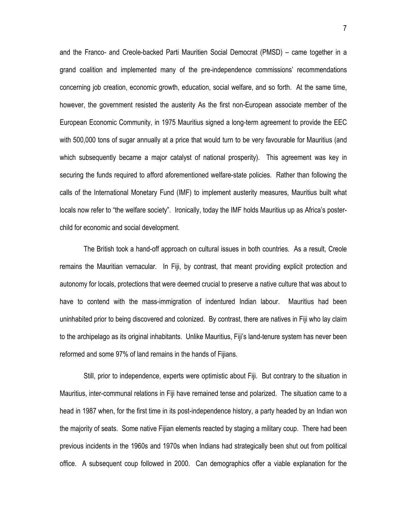and the Franco- and Creole-backed Parti Mauritien Social Democrat (PMSD) – came together in a grand coalition and implemented many of the pre-independence commissions' recommendations concerning job creation, economic growth, education, social welfare, and so forth. At the same time, however, the government resisted the austerity As the first non-European associate member of the European Economic Community, in 1975 Mauritius signed a long-term agreement to provide the EEC with 500,000 tons of sugar annually at a price that would turn to be very favourable for Mauritius (and which subsequently became a major catalyst of national prosperity). This agreement was key in securing the funds required to afford aforementioned welfare-state policies. Rather than following the calls of the International Monetary Fund (IMF) to implement austerity measures, Mauritius built what locals now refer to "the welfare society". Ironically, today the IMF holds Mauritius up as Africa's posterchild for economic and social development.

The British took a hand-off approach on cultural issues in both countries. As a result, Creole remains the Mauritian vernacular. In Fiji, by contrast, that meant providing explicit protection and autonomy for locals, protections that were deemed crucial to preserve a native culture that was about to have to contend with the mass-immigration of indentured Indian labour. Mauritius had been uninhabited prior to being discovered and colonized. By contrast, there are natives in Fiji who lay claim to the archipelago as its original inhabitants. Unlike Mauritius, Fiji's land-tenure system has never been reformed and some 97% of land remains in the hands of Fijians.

Still, prior to independence, experts were optimistic about Fiji. But contrary to the situation in Mauritius, inter-communal relations in Fiji have remained tense and polarized. The situation came to a head in 1987 when, for the first time in its post-independence history, a party headed by an Indian won the majority of seats. Some native Fijian elements reacted by staging a military coup. There had been previous incidents in the 1960s and 1970s when Indians had strategically been shut out from political office. A subsequent coup followed in 2000. Can demographics offer a viable explanation for the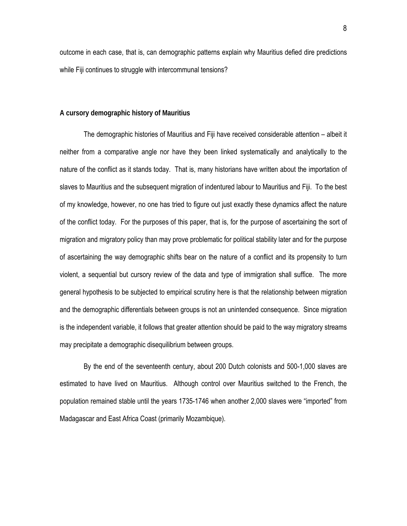outcome in each case, that is, can demographic patterns explain why Mauritius defied dire predictions while Fiji continues to struggle with intercommunal tensions?

# **A cursory demographic history of Mauritius**

The demographic histories of Mauritius and Fiji have received considerable attention – albeit it neither from a comparative angle nor have they been linked systematically and analytically to the nature of the conflict as it stands today. That is, many historians have written about the importation of slaves to Mauritius and the subsequent migration of indentured labour to Mauritius and Fiji. To the best of my knowledge, however, no one has tried to figure out just exactly these dynamics affect the nature of the conflict today. For the purposes of this paper, that is, for the purpose of ascertaining the sort of migration and migratory policy than may prove problematic for political stability later and for the purpose of ascertaining the way demographic shifts bear on the nature of a conflict and its propensity to turn violent, a sequential but cursory review of the data and type of immigration shall suffice. The more general hypothesis to be subjected to empirical scrutiny here is that the relationship between migration and the demographic differentials between groups is not an unintended consequence. Since migration is the independent variable, it follows that greater attention should be paid to the way migratory streams may precipitate a demographic disequilibrium between groups.

By the end of the seventeenth century, about 200 Dutch colonists and 500-1,000 slaves are estimated to have lived on Mauritius. Although control over Mauritius switched to the French, the population remained stable until the years 1735-1746 when another 2,000 slaves were "imported" from Madagascar and East Africa Coast (primarily Mozambique).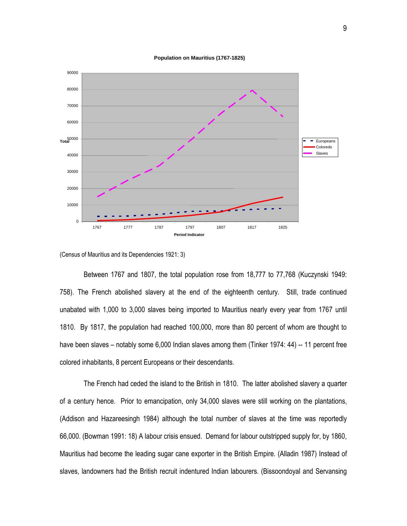



<sup>(</sup>Census of Mauritius and its Dependencies 1921: 3)

Between 1767 and 1807, the total population rose from 18,777 to 77,768 (Kuczynski 1949: 758). The French abolished slavery at the end of the eighteenth century. Still, trade continued unabated with 1,000 to 3,000 slaves being imported to Mauritius nearly every year from 1767 until 1810. By 1817, the population had reached 100,000, more than 80 percent of whom are thought to have been slaves – notably some 6,000 Indian slaves among them (Tinker 1974: 44) -- 11 percent free colored inhabitants, 8 percent Europeans or their descendants.

The French had ceded the island to the British in 1810. The latter abolished slavery a quarter of a century hence. Prior to emancipation, only 34,000 slaves were still working on the plantations, (Addison and Hazareesingh 1984) although the total number of slaves at the time was reportedly 66,000. (Bowman 1991: 18) A labour crisis ensued. Demand for labour outstripped supply for, by 1860, Mauritius had become the leading sugar cane exporter in the British Empire. (Alladin 1987) Instead of slaves, landowners had the British recruit indentured Indian labourers. (Bissoondoyal and Servansing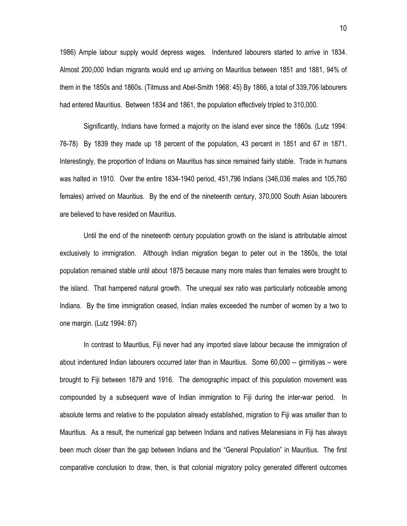1986) Ample labour supply would depress wages. Indentured labourers started to arrive in 1834. Almost 200,000 Indian migrants would end up arriving on Mauritius between 1851 and 1881, 94% of them in the 1850s and 1860s. (Titmuss and Abel-Smith 1968: 45) By 1866, a total of 339,706 labourers had entered Mauritius. Between 1834 and 1861, the population effectively tripled to 310,000.

Significantly, Indians have formed a majority on the island ever since the 1860s. (Lutz 1994: 76-78) By 1839 they made up 18 percent of the population, 43 percent in 1851 and 67 in 1871. Interestingly, the proportion of Indians on Mauritius has since remained fairly stable. Trade in humans was halted in 1910. Over the entire 1834-1940 period, 451,796 Indians (346,036 males and 105,760 females) arrived on Mauritius. By the end of the nineteenth century, 370,000 South Asian labourers are believed to have resided on Mauritius.

Until the end of the nineteenth century population growth on the island is attributable almost exclusively to immigration. Although Indian migration began to peter out in the 1860s, the total population remained stable until about 1875 because many more males than females were brought to the island. That hampered natural growth. The unequal sex ratio was particularly noticeable among Indians. By the time immigration ceased, Indian males exceeded the number of women by a two to one margin. (Lutz 1994: 87)

In contrast to Mauritius, Fiji never had any imported slave labour because the immigration of about indentured Indian labourers occurred later than in Mauritius. Some 60,000 -- girmitiyas – were brought to Fiji between 1879 and 1916. The demographic impact of this population movement was compounded by a subsequent wave of Indian immigration to Fiji during the inter-war period. In absolute terms and relative to the population already established, migration to Fiji was smaller than to Mauritius. As a result, the numerical gap between Indians and natives Melanesians in Fiji has always been much closer than the gap between Indians and the "General Population" in Mauritius. The first comparative conclusion to draw, then, is that colonial migratory policy generated different outcomes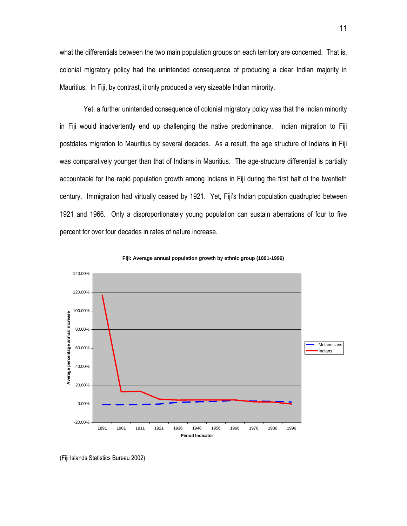what the differentials between the two main population groups on each territory are concerned. That is, colonial migratory policy had the unintended consequence of producing a clear Indian majority in Mauritius. In Fiji, by contrast, it only produced a very sizeable Indian minority.

Yet, a further unintended consequence of colonial migratory policy was that the Indian minority in Fiji would inadvertently end up challenging the native predominance. Indian migration to Fiji postdates migration to Mauritius by several decades. As a result, the age structure of Indians in Fiji was comparatively younger than that of Indians in Mauritius. The age-structure differential is partially accountable for the rapid population growth among Indians in Fiji during the first half of the twentieth century. Immigration had virtually ceased by 1921. Yet, Fiji's Indian population quadrupled between 1921 and 1966. Only a disproportionately young population can sustain aberrations of four to five percent for over four decades in rates of nature increase.



**Fiji: Average annual population growth by ethnic group (1891-1996)**

<sup>(</sup>Fiji Islands Statistics Bureau 2002)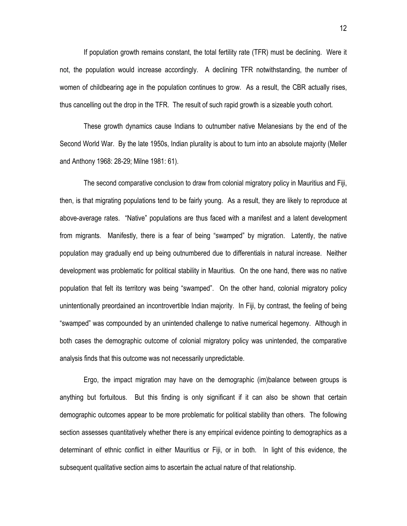If population growth remains constant, the total fertility rate (TFR) must be declining. Were it not, the population would increase accordingly. A declining TFR notwithstanding, the number of women of childbearing age in the population continues to grow. As a result, the CBR actually rises, thus cancelling out the drop in the TFR. The result of such rapid growth is a sizeable youth cohort.

These growth dynamics cause Indians to outnumber native Melanesians by the end of the Second World War. By the late 1950s, Indian plurality is about to turn into an absolute majority (Meller and Anthony 1968: 28-29; Milne 1981: 61).

The second comparative conclusion to draw from colonial migratory policy in Mauritius and Fiji, then, is that migrating populations tend to be fairly young. As a result, they are likely to reproduce at above-average rates. "Native" populations are thus faced with a manifest and a latent development from migrants. Manifestly, there is a fear of being "swamped" by migration. Latently, the native population may gradually end up being outnumbered due to differentials in natural increase. Neither development was problematic for political stability in Mauritius. On the one hand, there was no native population that felt its territory was being "swamped". On the other hand, colonial migratory policy unintentionally preordained an incontrovertible Indian majority. In Fiji, by contrast, the feeling of being "swamped" was compounded by an unintended challenge to native numerical hegemony. Although in both cases the demographic outcome of colonial migratory policy was unintended, the comparative analysis finds that this outcome was not necessarily unpredictable.

Ergo, the impact migration may have on the demographic (im)balance between groups is anything but fortuitous. But this finding is only significant if it can also be shown that certain demographic outcomes appear to be more problematic for political stability than others. The following section assesses quantitatively whether there is any empirical evidence pointing to demographics as a determinant of ethnic conflict in either Mauritius or Fiji, or in both. In light of this evidence, the subsequent qualitative section aims to ascertain the actual nature of that relationship.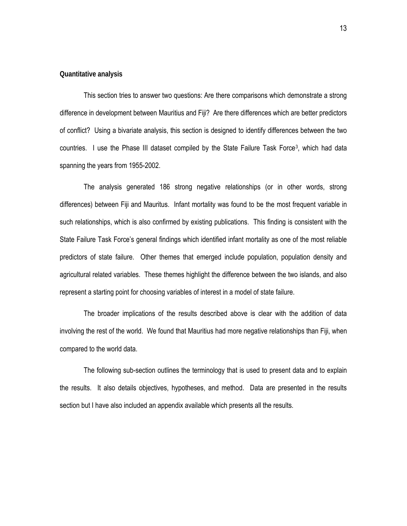#### **Quantitative analysis**

This section tries to answer two questions: Are there comparisons which demonstrate a strong difference in development between Mauritius and Fiji? Are there differences which are better predictors of conflict? Using a bivariate analysis, this section is designed to identify differences between the two countries. I use the Phase III dataset compiled by the State Failure Task Force<sup>[3](#page-58-1)</sup>, which had data spanning the years from 1955-2002.

The analysis generated 186 strong negative relationships (or in other words, strong differences) between Fiji and Mauritus. Infant mortality was found to be the most frequent variable in such relationships, which is also confirmed by existing publications. This finding is consistent with the State Failure Task Force's general findings which identified infant mortality as one of the most reliable predictors of state failure. Other themes that emerged include population, population density and agricultural related variables. These themes highlight the difference between the two islands, and also represent a starting point for choosing variables of interest in a model of state failure.

The broader implications of the results described above is clear with the addition of data involving the rest of the world. We found that Mauritius had more negative relationships than Fiji, when compared to the world data.

The following sub-section outlines the terminology that is used to present data and to explain the results. It also details objectives, hypotheses, and method. Data are presented in the results section but I have also included an appendix available which presents all the results.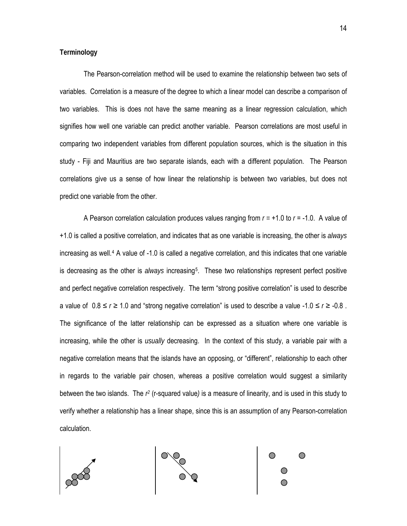# **Terminology**

The Pearson-correlation method will be used to examine the relationship between two sets of variables. Correlation is a measure of the degree to which a linear model can describe a comparison of two variables. This is does not have the same meaning as a linear regression calculation, which signifies how well one variable can predict another variable. Pearson correlations are most useful in comparing two independent variables from different population sources, which is the situation in this study - Fiji and Mauritius are two separate islands, each with a different population. The Pearson correlations give us a sense of how linear the relationship is between two variables, but does not predict one variable from the other.

A Pearson correlation calculation produces values ranging from *r =* +1.0 to *r* = -1.0. A value of +1.0 is called a positive correlation, and indicates that as one variable is increasing, the other is *always* increasing as well.[4](#page-58-1) A value of -1.0 is called a negative correlation, and this indicates that one variable is decreasing as the other is *always* increasing[5](#page-58-1). These two relationships represent perfect positive and perfect negative correlation respectively. The term "strong positive correlation" is used to describe a value of  $0.8 \le r \ge 1.0$  and "strong negative correlation" is used to describe a value -1.0  $\le r \ge$  -0.8. The significance of the latter relationship can be expressed as a situation where one variable is increasing, while the other is *usually* decreasing. In the context of this study, a variable pair with a negative correlation means that the islands have an opposing, or "different", relationship to each other in regards to the variable pair chosen, whereas a positive correlation would suggest a similarity between the two islands. The *r2* (r-squared value*)* is a measure of linearity, and is used in this study to verify whether a relationship has a linear shape, since this is an assumption of any Pearson-correlation calculation.

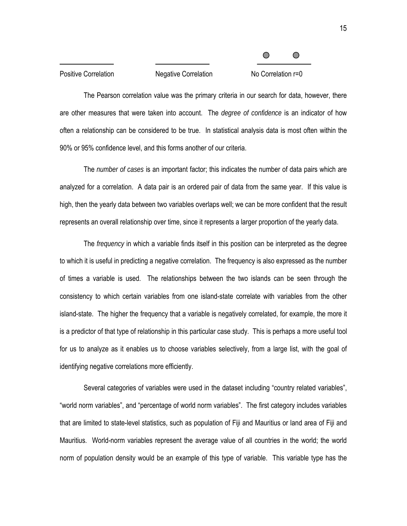| <b>Positive Correlation</b> | <b>Negative Correlation</b> | No Correlation r=0 |  |
|-----------------------------|-----------------------------|--------------------|--|

The Pearson correlation value was the primary criteria in our search for data, however, there are other measures that were taken into account. The *degree of confidence* is an indicator of how often a relationship can be considered to be true. In statistical analysis data is most often within the 90% or 95% confidence level, and this forms another of our criteria.

The *number of cases* is an important factor; this indicates the number of data pairs which are analyzed for a correlation. A data pair is an ordered pair of data from the same year. If this value is high, then the yearly data between two variables overlaps well; we can be more confident that the result represents an overall relationship over time, since it represents a larger proportion of the yearly data.

The *frequency* in which a variable finds itself in this position can be interpreted as the degree to which it is useful in predicting a negative correlation. The frequency is also expressed as the number of times a variable is used. The relationships between the two islands can be seen through the consistency to which certain variables from one island-state correlate with variables from the other island-state. The higher the frequency that a variable is negatively correlated, for example, the more it is a predictor of that type of relationship in this particular case study. This is perhaps a more useful tool for us to analyze as it enables us to choose variables selectively, from a large list, with the goal of identifying negative correlations more efficiently.

Several categories of variables were used in the dataset including "country related variables", "world norm variables", and "percentage of world norm variables". The first category includes variables that are limited to state-level statistics, such as population of Fiji and Mauritius or land area of Fiji and Mauritius. World-norm variables represent the average value of all countries in the world; the world norm of population density would be an example of this type of variable. This variable type has the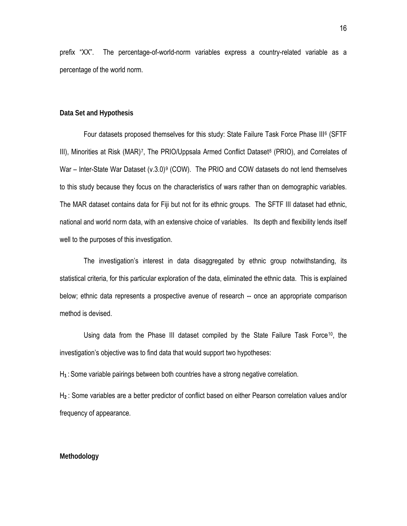prefix "XX". The percentage-of-world-norm variables express a country-related variable as a percentage of the world norm.

#### **Data Set and Hypothesis**

Four datasets proposed themselves for this study: State Failure Task Force Phase III[6](#page-58-1) (SFTF III), Minorities at Risk (MAR)<sup>7</sup>, The PRIO/Uppsala Armed Conflict Dataset<sup>8</sup> (PRIO), and Correlates of War – Inter-State War Dataset  $(v.3.0)^9$  (COW). The PRIO and COW datasets do not lend themselves to this study because they focus on the characteristics of wars rather than on demographic variables. The MAR dataset contains data for Fiji but not for its ethnic groups. The SFTF III dataset had ethnic, national and world norm data, with an extensive choice of variables. Its depth and flexibility lends itself well to the purposes of this investigation.

The investigation's interest in data disaggregated by ethnic group notwithstanding, its statistical criteria, for this particular exploration of the data, eliminated the ethnic data. This is explained below; ethnic data represents a prospective avenue of research -- once an appropriate comparison method is devised.

Using data from the Phase III dataset compiled by the State Failure Task Force<sup>[1](#page-58-1)0</sup>, the investigation's objective was to find data that would support two hypotheses:

H**<sup>1</sup>** : Some variable pairings between both countries have a strong negative correlation.

H**<sup>2</sup>** : Some variables are a better predictor of conflict based on either Pearson correlation values and/or frequency of appearance.

#### **Methodology**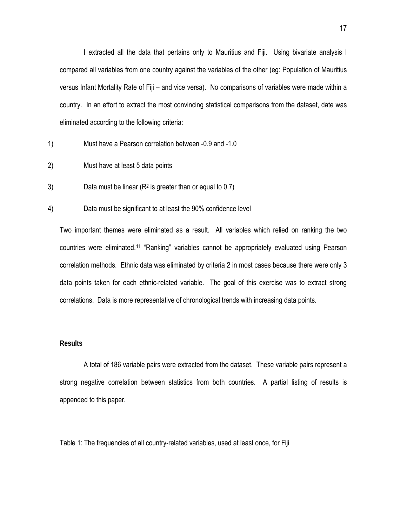I extracted all the data that pertains only to Mauritius and Fiji. Using bivariate analysis I compared all variables from one country against the variables of the other (eg: Population of Mauritius versus Infant Mortality Rate of Fiji – and vice versa). No comparisons of variables were made within a country. In an effort to extract the most convincing statistical comparisons from the dataset, date was eliminated according to the following criteria:

- 1) Must have a Pearson correlation between -0.9 and -1.0
- 2) Must have at least 5 data points
- 3) Data must be linear  $(R^2)$  is greater than or equal to 0.7)
- 4) Data must be significant to at least the 90% confidence level

Two important themes were eliminated as a result. All variables which relied on ranking the two countries were eliminated.[1](#page-58-1)1 "Ranking" variables cannot be appropriately evaluated using Pearson correlation methods. Ethnic data was eliminated by criteria 2 in most cases because there were only 3 data points taken for each ethnic-related variable. The goal of this exercise was to extract strong correlations. Data is more representative of chronological trends with increasing data points.

# **Results**

A total of 186 variable pairs were extracted from the dataset. These variable pairs represent a strong negative correlation between statistics from both countries. A partial listing of results is appended to this paper.

Table 1: The frequencies of all country-related variables, used at least once, for Fiji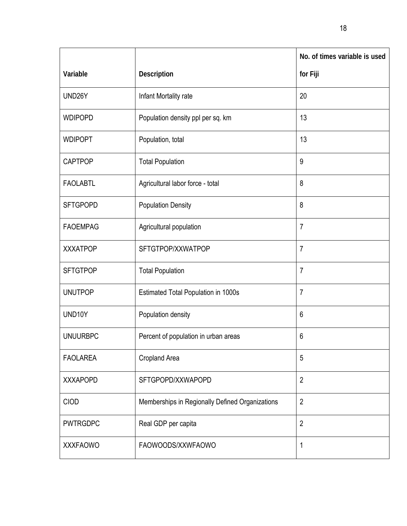|                 |                                                 | No. of times variable is used |
|-----------------|-------------------------------------------------|-------------------------------|
| Variable        | Description                                     | for Fiji                      |
| UND26Y          | Infant Mortality rate                           | 20                            |
| <b>WDIPOPD</b>  | Population density ppl per sq. km               | 13                            |
| <b>WDIPOPT</b>  | Population, total                               | 13                            |
| <b>CAPTPOP</b>  | <b>Total Population</b>                         | 9                             |
| <b>FAOLABTL</b> | Agricultural labor force - total                | 8                             |
| <b>SFTGPOPD</b> | <b>Population Density</b>                       | 8                             |
| <b>FAOEMPAG</b> | Agricultural population                         | $\overline{7}$                |
| <b>XXXATPOP</b> | SFTGTPOP/XXWATPOP                               | $\overline{7}$                |
| <b>SFTGTPOP</b> | <b>Total Population</b>                         | $\overline{7}$                |
| <b>UNUTPOP</b>  | <b>Estimated Total Population in 1000s</b>      | $\overline{7}$                |
| UND10Y          | Population density                              | 6                             |
| <b>UNUURBPC</b> | Percent of population in urban areas            | 6                             |
| <b>FAOLAREA</b> | Cropland Area                                   | 5                             |
| <b>XXXAPOPD</b> | SFTGPOPD/XXWAPOPD                               | $\overline{2}$                |
| CIOD            | Memberships in Regionally Defined Organizations | $\overline{2}$                |
| <b>PWTRGDPC</b> | Real GDP per capita                             | $\overline{2}$                |
| <b>XXXFAOWO</b> | FAOWOODS/XXWFAOWO                               | 1                             |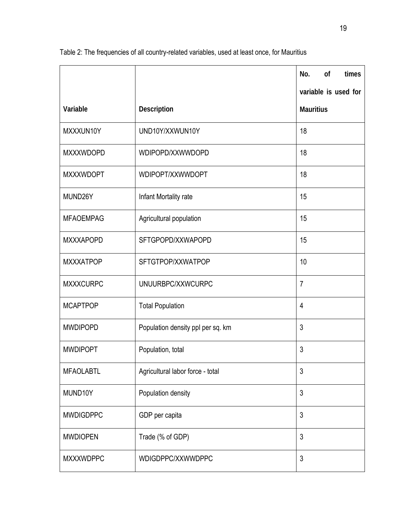|                  |                                   | No.<br><b>of</b><br>times |
|------------------|-----------------------------------|---------------------------|
|                  |                                   | variable is used for      |
| Variable         | Description                       | <b>Mauritius</b>          |
| MXXXUN10Y        | UND10Y/XXWUN10Y                   | 18                        |
| <b>MXXXWDOPD</b> | WDIPOPD/XXWWDOPD                  | 18                        |
| <b>MXXXWDOPT</b> | WDIPOPT/XXWWDOPT                  | 18                        |
| MUND26Y          | Infant Mortality rate             | 15                        |
| <b>MFAOEMPAG</b> | Agricultural population           | 15                        |
| <b>MXXXAPOPD</b> | SFTGPOPD/XXWAPOPD                 | 15                        |
| <b>MXXXATPOP</b> | SFTGTPOP/XXWATPOP                 | 10                        |
| <b>MXXXCURPC</b> | UNUURBPC/XXWCURPC                 | $\overline{7}$            |
| <b>MCAPTPOP</b>  | <b>Total Population</b>           | $\overline{4}$            |
| <b>MWDIPOPD</b>  | Population density ppl per sq. km | 3                         |
| <b>MWDIPOPT</b>  | Population, total                 | 3                         |
| <b>MFAOLABTL</b> | Agricultural labor force - total  | 3                         |
| MUND10Y          | Population density                | 3                         |
| <b>MWDIGDPPC</b> | GDP per capita                    | 3                         |
| <b>MWDIOPEN</b>  | Trade (% of GDP)                  | 3                         |
| <b>MXXXWDPPC</b> | WDIGDPPC/XXWWDPPC                 | 3                         |

Table 2: The frequencies of all country-related variables, used at least once, for Mauritius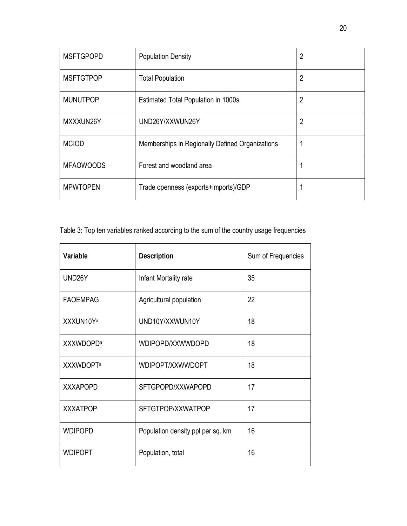| <b>MSFTGPOPD</b> | <b>Population Density</b>                       | $\overline{2}$ |
|------------------|-------------------------------------------------|----------------|
| <b>MSFTGTPOP</b> | <b>Total Population</b>                         | $\overline{2}$ |
| <b>MUNUTPOP</b>  | <b>Estimated Total Population in 1000s</b>      | 2              |
| MXXXUN26Y        | UND26Y/XXWUN26Y                                 | 2              |
| <b>MCIOD</b>     | Memberships in Regionally Defined Organizations |                |
| <b>MFAOWOODS</b> | Forest and woodland area                        |                |
| <b>MPWTOPEN</b>  | Trade openness (exports+imports)/GDP            |                |

Table 3: Top ten variables ranked according to the sum of the country usage frequencies

| Variable          | <b>Description</b>                | Sum of Frequencies |
|-------------------|-----------------------------------|--------------------|
| UND26Y            | Infant Mortality rate             | 35                 |
| <b>FAOEMPAG</b>   | Agricultural population           | 22                 |
| XXXUN10Ya         | UND10Y/XXWUN10Y                   | 18                 |
| <b>XXXWDOPDa</b>  | WDIPOPD/XXWWDOPD                  | 18                 |
| <b>XXXWDOPT</b> a | WDIPOPT/XXWWDOPT                  | 18                 |
| <b>XXXAPOPD</b>   | SFTGPOPD/XXWAPOPD                 | 17                 |
| <b>XXXATPOP</b>   | SFTGTPOP/XXWATPOP                 | 17                 |
| <b>WDIPOPD</b>    | Population density ppl per sq. km | 16                 |
| <b>WDIPOPT</b>    | Population, total                 | 16                 |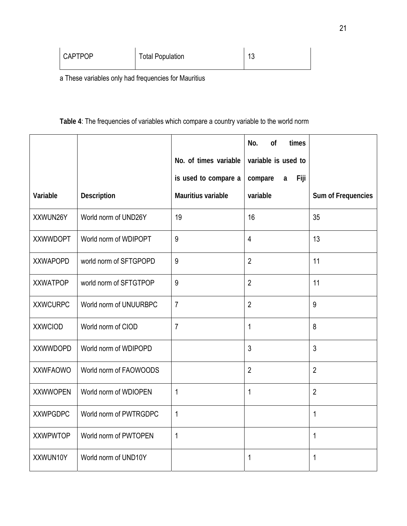| <b>CAPTPOP</b> | <b>Total Population</b> | 10<br>ں ا |
|----------------|-------------------------|-----------|
|                |                         |           |

a These variables only had frequencies for Mauritius

# **Table 4**: The frequencies of variables which compare a country variable to the world norm

|                 |                        |                       | No.<br>of<br>times   |                    |
|-----------------|------------------------|-----------------------|----------------------|--------------------|
|                 |                        | No. of times variable | variable is used to  |                    |
|                 |                        | is used to compare a  | Fiji<br>compare<br>a |                    |
| Variable        | <b>Description</b>     | Mauritius variable    | variable             | Sum of Frequencies |
| XXWUN26Y        | World norm of UND26Y   | 19                    | 16                   | 35                 |
| <b>XXWWDOPT</b> | World norm of WDIPOPT  | 9                     | $\overline{4}$       | 13                 |
| <b>XXWAPOPD</b> | world norm of SFTGPOPD | 9                     | $\overline{2}$       | 11                 |
| <b>XXWATPOP</b> | world norm of SFTGTPOP | 9                     | $\overline{2}$       | 11                 |
| <b>XXWCURPC</b> | World norm of UNUURBPC | $\overline{7}$        | $\overline{2}$       | 9                  |
| <b>XXWCIOD</b>  | World norm of CIOD     | $\overline{7}$        | 1                    | 8                  |
| <b>XXWWDOPD</b> | World norm of WDIPOPD  |                       | 3                    | $\mathfrak{Z}$     |
| <b>XXWFAOWO</b> | World norm of FAOWOODS |                       | $\overline{2}$       | $\overline{2}$     |
| <b>XXWWOPEN</b> | World norm of WDIOPEN  | $\mathbf 1$           | 1                    | $\overline{2}$     |
| <b>XXWPGDPC</b> | World norm of PWTRGDPC | 1                     |                      | 1                  |
| <b>XXWPWTOP</b> | World norm of PWTOPEN  | 1                     |                      | 1                  |
| XXWUN10Y        | World norm of UND10Y   |                       | 1                    | 1                  |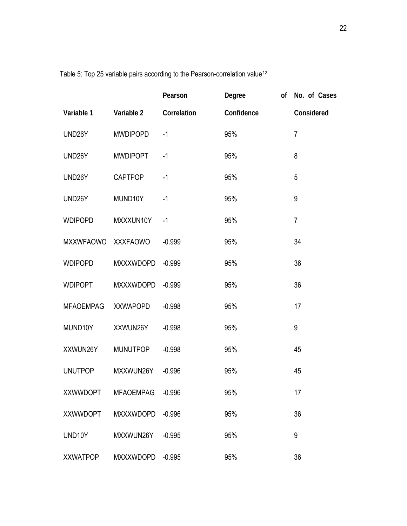|                  |                  | Pearson     | Degree     | of | No. of Cases   |
|------------------|------------------|-------------|------------|----|----------------|
| Variable 1       | Variable 2       | Correlation | Confidence |    | Considered     |
| UND26Y           | <b>MWDIPOPD</b>  | $-1$        | 95%        |    | $\overline{7}$ |
| UND26Y           | <b>MWDIPOPT</b>  | $-1$        | 95%        |    | 8              |
| UND26Y           | <b>CAPTPOP</b>   | $-1$        | 95%        |    | 5              |
| UND26Y           | MUND10Y          | $-1$        | 95%        |    | 9              |
| <b>WDIPOPD</b>   | MXXXUN10Y        | $-1$        | 95%        |    | $\overline{7}$ |
| MXXWFAOWO        | <b>XXXFAOWO</b>  | $-0.999$    | 95%        |    | 34             |
| <b>WDIPOPD</b>   | MXXXWDOPD        | $-0.999$    | 95%        |    | 36             |
| <b>WDIPOPT</b>   | <b>MXXXWDOPD</b> | $-0.999$    | 95%        |    | 36             |
| <b>MFAOEMPAG</b> | <b>XXWAPOPD</b>  | $-0.998$    | 95%        |    | 17             |
| MUND10Y          | XXWUN26Y         | $-0.998$    | 95%        |    | 9              |
| XXWUN26Y         | <b>MUNUTPOP</b>  | $-0.998$    | 95%        |    | 45             |
| <b>UNUTPOP</b>   | MXXWUN26Y        | $-0.996$    | 95%        |    | 45             |
| <b>XXWWDOPT</b>  | <b>MFAOEMPAG</b> | $-0.996$    | 95%        |    | 17             |
| <b>XXWWDOPT</b>  | <b>MXXXWDOPD</b> | $-0.996$    | 95%        |    | 36             |
| UND10Y           | MXXWUN26Y        | $-0.995$    | 95%        |    | 9              |
| XXWATPOP         | MXXXWDOPD        | $-0.995$    | 95%        |    | 36             |

Table 5: Top 25 variable pairs according to the Pearson-correlation value<sup>[12](#page-58-1)</sup>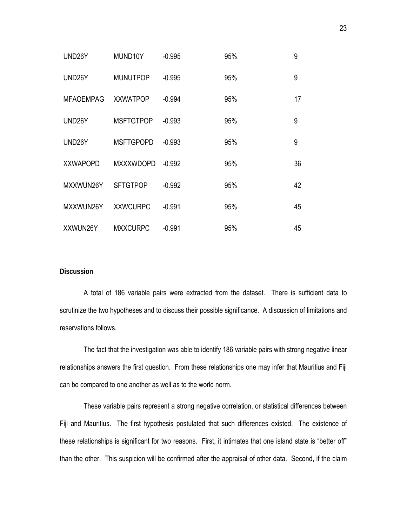| UND <sub>26</sub> Y | MUND10Y          | $-0.995$ | 95% | 9  |
|---------------------|------------------|----------|-----|----|
| UND <sub>26</sub> Y | <b>MUNUTPOP</b>  | $-0.995$ | 95% | 9  |
| <b>MFAOEMPAG</b>    | <b>XXWATPOP</b>  | $-0.994$ | 95% | 17 |
| UND <sub>26</sub> Y | <b>MSFTGTPOP</b> | $-0.993$ | 95% | 9  |
| UND <sub>26</sub> Y | <b>MSFTGPOPD</b> | $-0.993$ | 95% | 9  |
| <b>XXWAPOPD</b>     | <b>MXXXWDOPD</b> | $-0.992$ | 95% | 36 |
| MXXWUN26Y           | <b>SFTGTPOP</b>  | $-0.992$ | 95% | 42 |
| MXXWUN26Y           | <b>XXWCURPC</b>  | $-0.991$ | 95% | 45 |
| XXWUN26Y            | <b>MXXCURPC</b>  | $-0.991$ | 95% | 45 |

# **Discussion**

A total of 186 variable pairs were extracted from the dataset. There is sufficient data to scrutinize the two hypotheses and to discuss their possible significance. A discussion of limitations and reservations follows.

The fact that the investigation was able to identify 186 variable pairs with strong negative linear relationships answers the first question. From these relationships one may infer that Mauritius and Fiji can be compared to one another as well as to the world norm.

These variable pairs represent a strong negative correlation, or statistical differences between Fiji and Mauritius. The first hypothesis postulated that such differences existed. The existence of these relationships is significant for two reasons. First, it intimates that one island state is "better off" than the other. This suspicion will be confirmed after the appraisal of other data. Second, if the claim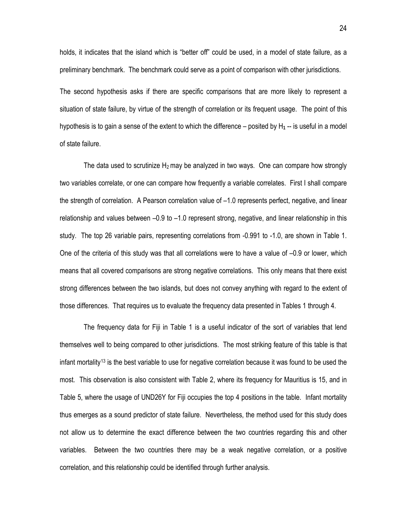holds, it indicates that the island which is "better off" could be used, in a model of state failure, as a preliminary benchmark. The benchmark could serve as a point of comparison with other jurisdictions.

The second hypothesis asks if there are specific comparisons that are more likely to represent a situation of state failure, by virtue of the strength of correlation or its frequent usage. The point of this hypothesis is to gain a sense of the extent to which the difference – posited by H**1** -- is useful in a model of state failure.

The data used to scrutinize  $H_2$  may be analyzed in two ways. One can compare how strongly two variables correlate, or one can compare how frequently a variable correlates. First I shall compare the strength of correlation. A Pearson correlation value of –1.0 represents perfect, negative, and linear relationship and values between –0.9 to –1.0 represent strong, negative, and linear relationship in this study. The top 26 variable pairs, representing correlations from -0.991 to -1.0, are shown in Table 1. One of the criteria of this study was that all correlations were to have a value of –0.9 or lower, which means that all covered comparisons are strong negative correlations. This only means that there exist strong differences between the two islands, but does not convey anything with regard to the extent of those differences. That requires us to evaluate the frequency data presented in Tables 1 through 4.

The frequency data for Fiji in Table 1 is a useful indicator of the sort of variables that lend themselves well to being compared to other jurisdictions. The most striking feature of this table is that infant mortality[1](#page-58-1)3 is the best variable to use for negative correlation because it was found to be used the most. This observation is also consistent with Table 2, where its frequency for Mauritius is 15, and in Table 5, where the usage of UND26Y for Fiji occupies the top 4 positions in the table. Infant mortality thus emerges as a sound predictor of state failure. Nevertheless, the method used for this study does not allow us to determine the exact difference between the two countries regarding this and other variables. Between the two countries there may be a weak negative correlation, or a positive correlation, and this relationship could be identified through further analysis.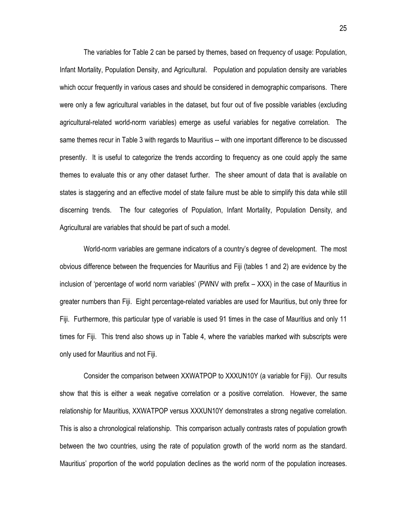The variables for Table 2 can be parsed by themes, based on frequency of usage: Population, Infant Mortality, Population Density, and Agricultural. Population and population density are variables which occur frequently in various cases and should be considered in demographic comparisons. There were only a few agricultural variables in the dataset, but four out of five possible variables (excluding agricultural-related world-norm variables) emerge as useful variables for negative correlation. The same themes recur in Table 3 with regards to Mauritius -- with one important difference to be discussed presently. It is useful to categorize the trends according to frequency as one could apply the same themes to evaluate this or any other dataset further. The sheer amount of data that is available on states is staggering and an effective model of state failure must be able to simplify this data while still discerning trends. The four categories of Population, Infant Mortality, Population Density, and Agricultural are variables that should be part of such a model.

World-norm variables are germane indicators of a country's degree of development. The most obvious difference between the frequencies for Mauritius and Fiji (tables 1 and 2) are evidence by the inclusion of 'percentage of world norm variables' (PWNV with prefix – XXX) in the case of Mauritius in greater numbers than Fiji. Eight percentage-related variables are used for Mauritius, but only three for Fiji. Furthermore, this particular type of variable is used 91 times in the case of Mauritius and only 11 times for Fiji. This trend also shows up in Table 4, where the variables marked with subscripts were only used for Mauritius and not Fiji.

Consider the comparison between XXWATPOP to XXXUN10Y (a variable for Fiji). Our results show that this is either a weak negative correlation or a positive correlation. However, the same relationship for Mauritius, XXWATPOP versus XXXUN10Y demonstrates a strong negative correlation. This is also a chronological relationship. This comparison actually contrasts rates of population growth between the two countries, using the rate of population growth of the world norm as the standard. Mauritius' proportion of the world population declines as the world norm of the population increases.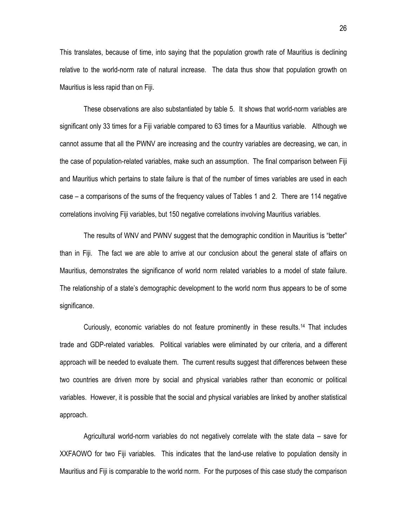This translates, because of time, into saying that the population growth rate of Mauritius is declining relative to the world-norm rate of natural increase. The data thus show that population growth on Mauritius is less rapid than on Fiji.

These observations are also substantiated by table 5. It shows that world-norm variables are significant only 33 times for a Fiji variable compared to 63 times for a Mauritius variable. Although we cannot assume that all the PWNV are increasing and the country variables are decreasing, we can, in the case of population-related variables, make such an assumption. The final comparison between Fiji and Mauritius which pertains to state failure is that of the number of times variables are used in each case – a comparisons of the sums of the frequency values of Tables 1 and 2. There are 114 negative correlations involving Fiji variables, but 150 negative correlations involving Mauritius variables.

The results of WNV and PWNV suggest that the demographic condition in Mauritius is "better" than in Fiji. The fact we are able to arrive at our conclusion about the general state of affairs on Mauritius, demonstrates the significance of world norm related variables to a model of state failure. The relationship of a state's demographic development to the world norm thus appears to be of some significance.

Curiously, economic variables do not feature prominently in these results.[14](#page-58-1) That includes trade and GDP-related variables. Political variables were eliminated by our criteria, and a different approach will be needed to evaluate them. The current results suggest that differences between these two countries are driven more by social and physical variables rather than economic or political variables. However, it is possible that the social and physical variables are linked by another statistical approach.

Agricultural world-norm variables do not negatively correlate with the state data – save for XXFAOWO for two Fiji variables. This indicates that the land-use relative to population density in Mauritius and Fiji is comparable to the world norm. For the purposes of this case study the comparison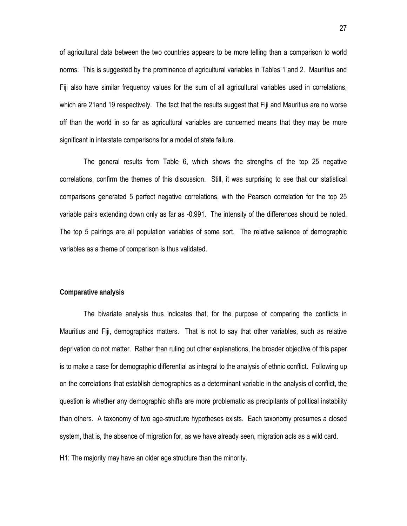of agricultural data between the two countries appears to be more telling than a comparison to world norms. This is suggested by the prominence of agricultural variables in Tables 1 and 2. Mauritius and Fiji also have similar frequency values for the sum of all agricultural variables used in correlations, which are 21and 19 respectively. The fact that the results suggest that Fiji and Mauritius are no worse off than the world in so far as agricultural variables are concerned means that they may be more significant in interstate comparisons for a model of state failure.

The general results from Table 6, which shows the strengths of the top 25 negative correlations, confirm the themes of this discussion. Still, it was surprising to see that our statistical comparisons generated 5 perfect negative correlations, with the Pearson correlation for the top 25 variable pairs extending down only as far as -0.991. The intensity of the differences should be noted. The top 5 pairings are all population variables of some sort. The relative salience of demographic variables as a theme of comparison is thus validated.

#### **Comparative analysis**

The bivariate analysis thus indicates that, for the purpose of comparing the conflicts in Mauritius and Fiji, demographics matters. That is not to say that other variables, such as relative deprivation do not matter. Rather than ruling out other explanations, the broader objective of this paper is to make a case for demographic differential as integral to the analysis of ethnic conflict. Following up on the correlations that establish demographics as a determinant variable in the analysis of conflict, the question is whether any demographic shifts are more problematic as precipitants of political instability than others. A taxonomy of two age-structure hypotheses exists. Each taxonomy presumes a closed system, that is, the absence of migration for, as we have already seen, migration acts as a wild card.

H1: The majority may have an older age structure than the minority.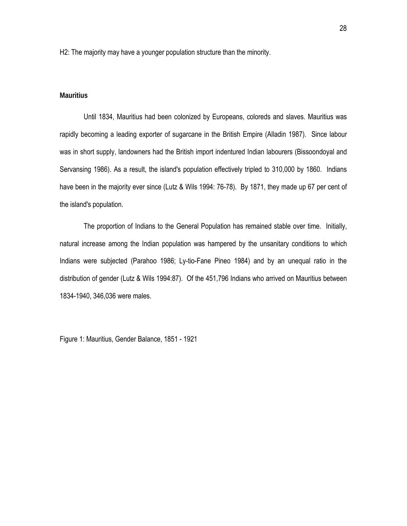H2: The majority may have a younger population structure than the minority.

# **Mauritius**

Until 1834, Mauritius had been colonized by Europeans, coloreds and slaves. Mauritius was rapidly becoming a leading exporter of sugarcane in the British Empire (Alladin 1987). Since labour was in short supply, landowners had the British import indentured Indian labourers (Bissoondoyal and Servansing 1986). As a result, the island's population effectively tripled to 310,000 by 1860. Indians have been in the majority ever since (Lutz & Wils 1994: 76-78). By 1871, they made up 67 per cent of the island's population.

The proportion of Indians to the General Population has remained stable over time. Initially, natural increase among the Indian population was hampered by the unsanitary conditions to which Indians were subjected (Parahoo 1986; Ly-tio-Fane Pineo 1984) and by an unequal ratio in the distribution of gender (Lutz & Wils 1994:87). Of the 451,796 Indians who arrived on Mauritius between 1834-1940, 346,036 were males.

Figure 1: Mauritius, Gender Balance, 1851 - 1921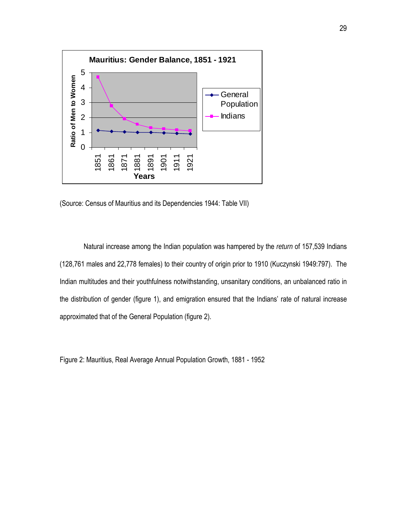

(Source: Census of Mauritius and its Dependencies 1944: Table VII)

Natural increase among the Indian population was hampered by the *return* of 157,539 Indians (128,761 males and 22,778 females) to their country of origin prior to 1910 (Kuczynski 1949:797). The Indian multitudes and their youthfulness notwithstanding, unsanitary conditions, an unbalanced ratio in the distribution of gender (figure 1), and emigration ensured that the Indians' rate of natural increase approximated that of the General Population (figure 2).

Figure 2: Mauritius, Real Average Annual Population Growth, 1881 - 1952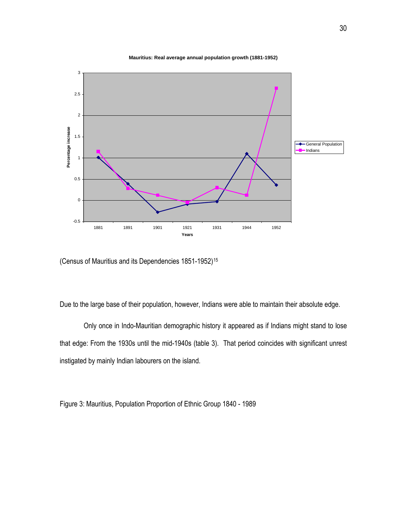

**Mauritius: Real average annual population growth (1881-1952)**

(Census of Mauritius and its Dependencies 1851-1952)<sup>[15](#page-58-1)</sup>

Due to the large base of their population, however, Indians were able to maintain their absolute edge.

Only once in Indo-Mauritian demographic history it appeared as if Indians might stand to lose that edge: From the 1930s until the mid-1940s (table 3). That period coincides with significant unrest instigated by mainly Indian labourers on the island.

Figure 3: Mauritius, Population Proportion of Ethnic Group 1840 - 1989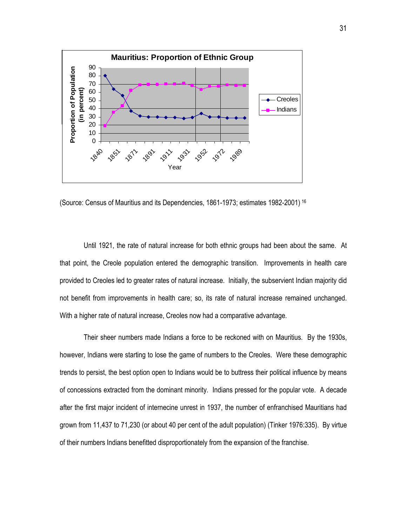

(Source: Census of Mauritius and its Dependencies, 1861-1973; estimates 1982-2001) [1](#page-58-1)6

Until 1921, the rate of natural increase for both ethnic groups had been about the same. At that point, the Creole population entered the demographic transition. Improvements in health care provided to Creoles led to greater rates of natural increase. Initially, the subservient Indian majority did not benefit from improvements in health care; so, its rate of natural increase remained unchanged. With a higher rate of natural increase, Creoles now had a comparative advantage.

Their sheer numbers made Indians a force to be reckoned with on Mauritius. By the 1930s, however, Indians were starting to lose the game of numbers to the Creoles. Were these demographic trends to persist, the best option open to Indians would be to buttress their political influence by means of concessions extracted from the dominant minority. Indians pressed for the popular vote. A decade after the first major incident of internecine unrest in 1937, the number of enfranchised Mauritians had grown from 11,437 to 71,230 (or about 40 per cent of the adult population) (Tinker 1976:335). By virtue of their numbers Indians benefitted disproportionately from the expansion of the franchise.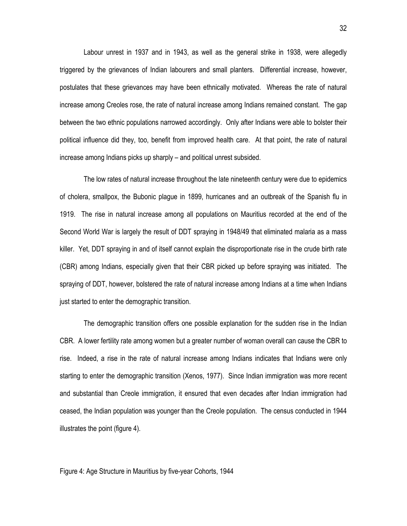Labour unrest in 1937 and in 1943, as well as the general strike in 1938, were allegedly triggered by the grievances of Indian labourers and small planters. Differential increase, however, postulates that these grievances may have been ethnically motivated. Whereas the rate of natural increase among Creoles rose, the rate of natural increase among Indians remained constant. The gap between the two ethnic populations narrowed accordingly. Only after Indians were able to bolster their political influence did they, too, benefit from improved health care. At that point, the rate of natural increase among Indians picks up sharply – and political unrest subsided.

The low rates of natural increase throughout the late nineteenth century were due to epidemics of cholera, smallpox, the Bubonic plague in 1899, hurricanes and an outbreak of the Spanish flu in 1919. The rise in natural increase among all populations on Mauritius recorded at the end of the Second World War is largely the result of DDT spraying in 1948/49 that eliminated malaria as a mass killer. Yet, DDT spraying in and of itself cannot explain the disproportionate rise in the crude birth rate (CBR) among Indians, especially given that their CBR picked up before spraying was initiated. The spraying of DDT, however, bolstered the rate of natural increase among Indians at a time when Indians just started to enter the demographic transition.

The demographic transition offers one possible explanation for the sudden rise in the Indian CBR. A lower fertility rate among women but a greater number of woman overall can cause the CBR to rise. Indeed, a rise in the rate of natural increase among Indians indicates that Indians were only starting to enter the demographic transition (Xenos, 1977). Since Indian immigration was more recent and substantial than Creole immigration, it ensured that even decades after Indian immigration had ceased, the Indian population was younger than the Creole population. The census conducted in 1944 illustrates the point (figure 4).

#### Figure 4: Age Structure in Mauritius by five-year Cohorts, 1944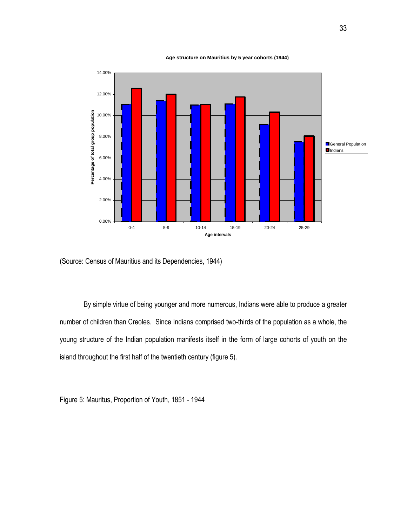**Age structure on Mauritius by 5 year cohorts (1944)**



(Source: Census of Mauritius and its Dependencies, 1944)

By simple virtue of being younger and more numerous, Indians were able to produce a greater number of children than Creoles. Since Indians comprised two-thirds of the population as a whole, the young structure of the Indian population manifests itself in the form of large cohorts of youth on the island throughout the first half of the twentieth century (figure 5).

Figure 5: Mauritus, Proportion of Youth, 1851 - 1944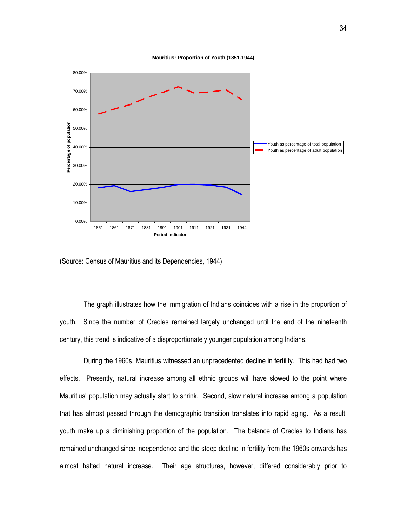



(Source: Census of Mauritius and its Dependencies, 1944)

The graph illustrates how the immigration of Indians coincides with a rise in the proportion of youth. Since the number of Creoles remained largely unchanged until the end of the nineteenth century, this trend is indicative of a disproportionately younger population among Indians.

During the 1960s, Mauritius witnessed an unprecedented decline in fertility. This had had two effects. Presently, natural increase among all ethnic groups will have slowed to the point where Mauritius' population may actually start to shrink. Second, slow natural increase among a population that has almost passed through the demographic transition translates into rapid aging. As a result, youth make up a diminishing proportion of the population. The balance of Creoles to Indians has remained unchanged since independence and the steep decline in fertility from the 1960s onwards has almost halted natural increase. Their age structures, however, differed considerably prior to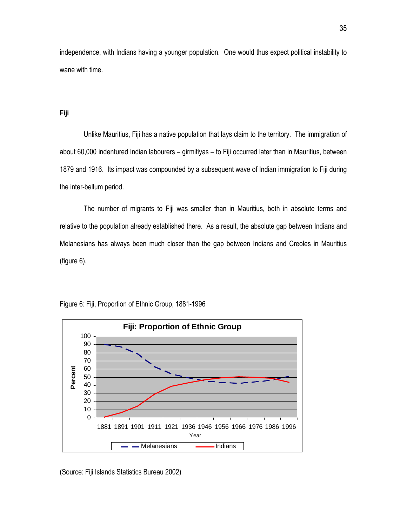independence, with Indians having a younger population. One would thus expect political instability to wane with time.

#### **Fiji**

Unlike Mauritius, Fiji has a native population that lays claim to the territory. The immigration of about 60,000 indentured Indian labourers – girmitiyas – to Fiji occurred later than in Mauritius, between 1879 and 1916. Its impact was compounded by a subsequent wave of Indian immigration to Fiji during the inter-bellum period.

The number of migrants to Fiji was smaller than in Mauritius, both in absolute terms and relative to the population already established there. As a result, the absolute gap between Indians and Melanesians has always been much closer than the gap between Indians and Creoles in Mauritius (figure 6).



Figure 6: Fiji, Proportion of Ethnic Group, 1881-1996

(Source: Fiji Islands Statistics Bureau 2002)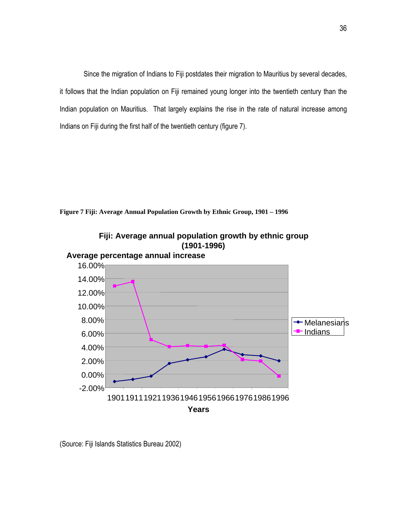Since the migration of Indians to Fiji postdates their migration to Mauritius by several decades, it follows that the Indian population on Fiji remained young longer into the twentieth century than the Indian population on Mauritius. That largely explains the rise in the rate of natural increase among Indians on Fiji during the first half of the twentieth century (figure 7).

**Figure 7 Fiji: Average Annual Population Growth by Ethnic Group, 1901 – 1996**





(Source: Fiji Islands Statistics Bureau 2002)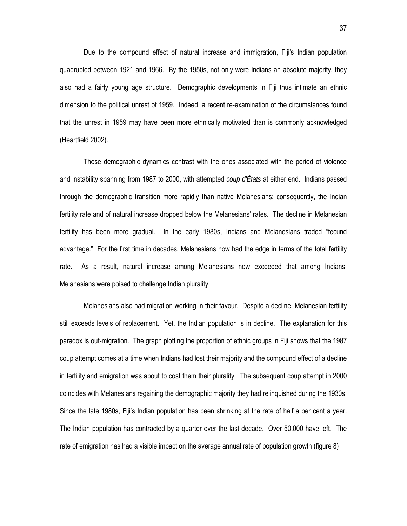Due to the compound effect of natural increase and immigration, Fiji's Indian population quadrupled between 1921 and 1966. By the 1950s, not only were Indians an absolute majority, they also had a fairly young age structure. Demographic developments in Fiji thus intimate an ethnic dimension to the political unrest of 1959. Indeed, a recent re-examination of the circumstances found that the unrest in 1959 may have been more ethnically motivated than is commonly acknowledged (Heartfield 2002).

Those demographic dynamics contrast with the ones associated with the period of violence and instability spanning from 1987 to 2000, with attempted *coup d'États* at either end. Indians passed through the demographic transition more rapidly than native Melanesians; consequently, the Indian fertility rate and of natural increase dropped below the Melanesians' rates. The decline in Melanesian fertility has been more gradual. In the early 1980s, Indians and Melanesians traded "fecund advantage." For the first time in decades, Melanesians now had the edge in terms of the total fertility rate. As a result, natural increase among Melanesians now exceeded that among Indians. Melanesians were poised to challenge Indian plurality.

Melanesians also had migration working in their favour. Despite a decline, Melanesian fertility still exceeds levels of replacement. Yet, the Indian population is in decline. The explanation for this paradox is out-migration. The graph plotting the proportion of ethnic groups in Fiji shows that the 1987 coup attempt comes at a time when Indians had lost their majority and the compound effect of a decline in fertility and emigration was about to cost them their plurality. The subsequent coup attempt in 2000 coincides with Melanesians regaining the demographic majority they had relinquished during the 1930s. Since the late 1980s, Fiji's Indian population has been shrinking at the rate of half a per cent a year. The Indian population has contracted by a quarter over the last decade. Over 50,000 have left. The rate of emigration has had a visible impact on the average annual rate of population growth (figure 8)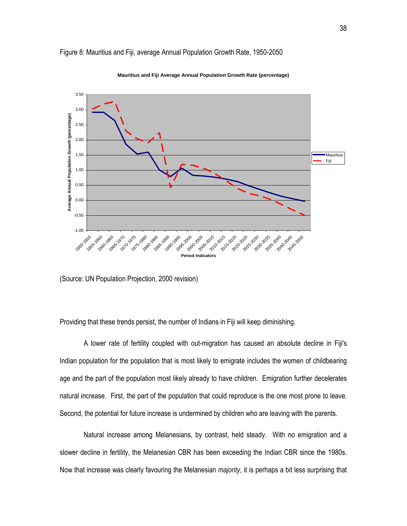

# Figure 8: Mauritius and Fiji, average Annual Population Growth Rate, 1950-2050

**Mauritius and Fiji Average Annual Population Growth Rate (percentage)**

(Source: UN Population Projection, 2000 revision)

Providing that these trends persist, the number of Indians in Fiji will keep diminishing.

A lower rate of fertility coupled with out-migration has caused an absolute decline in Fiji's Indian population for the population that is most likely to emigrate includes the women of childbearing age and the part of the population most likely already to have children. Emigration further decelerates natural increase. First, the part of the population that could reproduce is the one most prone to leave. Second, the potential for future increase is undermined by children who are leaving with the parents.

Natural increase among Melanesians, by contrast, held steady. With no emigration and a slower decline in fertility, the Melanesian CBR has been exceeding the Indian CBR since the 1980s. Now that increase was clearly favouring the Melanesian *majority*, it is perhaps a bit less surprising that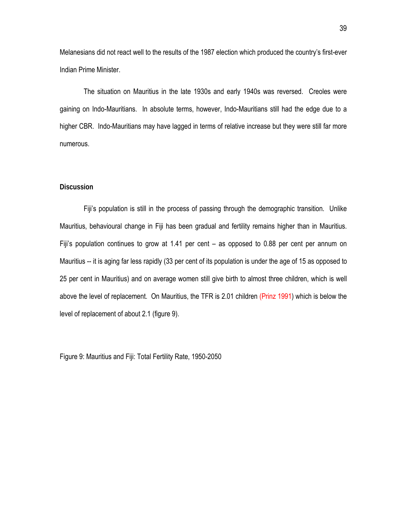Melanesians did not react well to the results of the 1987 election which produced the country's first-ever Indian Prime Minister.

The situation on Mauritius in the late 1930s and early 1940s was reversed. Creoles were gaining on Indo-Mauritians. In absolute terms, however, Indo-Mauritians still had the edge due to a higher CBR. Indo-Mauritians may have lagged in terms of relative increase but they were still far more numerous.

# **Discussion**

Fiji's population is still in the process of passing through the demographic transition. Unlike Mauritius, behavioural change in Fiji has been gradual and fertility remains higher than in Mauritius. Fiji's population continues to grow at 1.41 per cent – as opposed to 0.88 per cent per annum on Mauritius -- it is aging far less rapidly (33 per cent of its population is under the age of 15 as opposed to 25 per cent in Mauritius) and on average women still give birth to almost three children, which is well above the level of replacement. On Mauritius, the TFR is 2.01 children (Prinz 1991) which is below the level of replacement of about 2.1 (figure 9).

Figure 9: Mauritius and Fiji: Total Fertility Rate, 1950-2050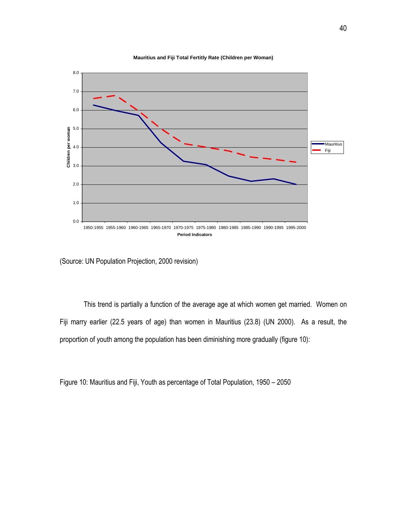

**Mauritius and Fiji Total Fertitly Rate (Children per Woman)**

(Source: UN Population Projection, 2000 revision)

This trend is partially a function of the average age at which women get married. Women on Fiji marry earlier (22.5 years of age) than women in Mauritius (23.8) (UN 2000). As a result, the proportion of youth among the population has been diminishing more gradually (figure 10):

Figure 10: Mauritius and Fiji, Youth as percentage of Total Population, 1950 – 2050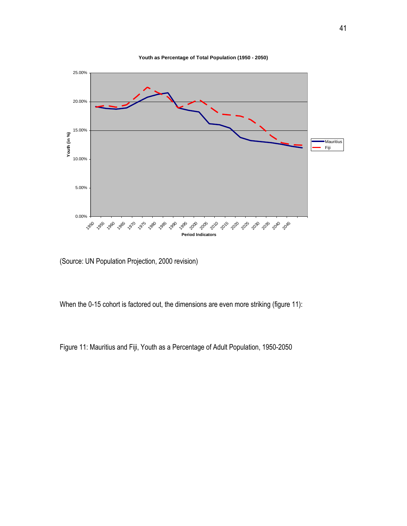



(Source: UN Population Projection, 2000 revision)

When the 0-15 cohort is factored out, the dimensions are even more striking (figure 11):

Figure 11: Mauritius and Fiji, Youth as a Percentage of Adult Population, 1950-2050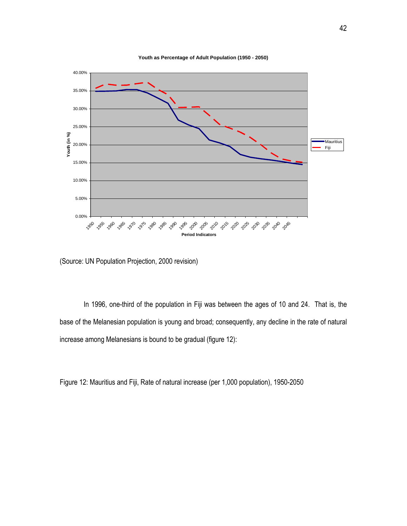

**Youth as Percentage of Adult Population (1950 - 2050)**

(Source: UN Population Projection, 2000 revision)

In 1996, one-third of the population in Fiji was between the ages of 10 and 24. That is, the base of the Melanesian population is young and broad; consequently, any decline in the rate of natural increase among Melanesians is bound to be gradual (figure 12):

Figure 12: Mauritius and Fiji, Rate of natural increase (per 1,000 population), 1950-2050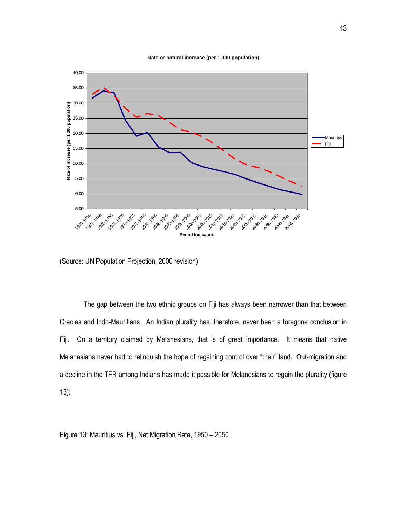



(Source: UN Population Projection, 2000 revision)

The gap between the two ethnic groups on Fiji has always been narrower than that between Creoles and Indo-Mauritians. An Indian plurality has, therefore, never been a foregone conclusion in Fiji. On a territory claimed by Melanesians, that is of great importance. It means that native Melanesians never had to relinquish the hope of regaining control over "their" land. Out-migration and a decline in the TFR among Indians has made it possible for Melanesians to regain the plurality (figure 13):

Figure 13: Mauritius vs. Fiji, Net Migration Rate, 1950 – 2050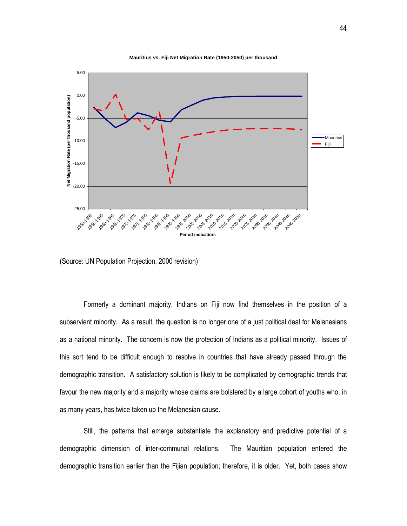

**Mauritius vs. Fiji Net Migration Rate (1950-2050) per thousand**

(Source: UN Population Projection, 2000 revision)

Formerly a dominant majority, Indians on Fiji now find themselves in the position of a subservient minority. As a result, the question is no longer one of a just political deal for Melanesians as a national minority. The concern is now the protection of Indians as a political minority. Issues of this sort tend to be difficult enough to resolve in countries that have already passed through the demographic transition. A satisfactory solution is likely to be complicated by demographic trends that favour the new majority and a majority whose claims are bolstered by a large cohort of youths who, in as many years, has twice taken up the Melanesian cause.

Still, the patterns that emerge substantiate the explanatory and predictive potential of a demographic dimension of inter-communal relations. The Mauritian population entered the demographic transition earlier than the Fijian population; therefore, it is older. Yet, both cases show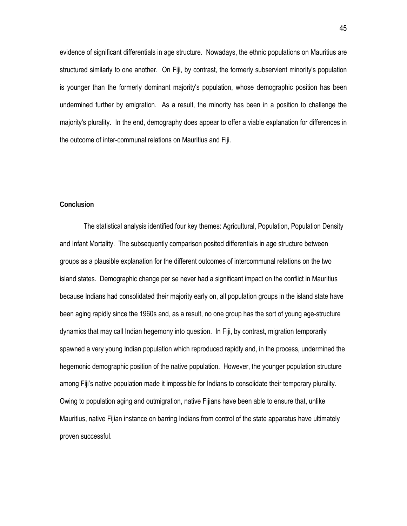evidence of significant differentials in age structure. Nowadays, the ethnic populations on Mauritius are structured similarly to one another. On Fiji, by contrast, the formerly subservient minority's population is younger than the formerly dominant majority's population, whose demographic position has been undermined further by emigration. As a result, the minority has been in a position to challenge the majority's plurality. In the end, demography does appear to offer a viable explanation for differences in the outcome of inter-communal relations on Mauritius and Fiji.

# **Conclusion**

The statistical analysis identified four key themes: Agricultural, Population, Population Density and Infant Mortality. The subsequently comparison posited differentials in age structure between groups as a plausible explanation for the different outcomes of intercommunal relations on the two island states. Demographic change per se never had a significant impact on the conflict in Mauritius because Indians had consolidated their majority early on, all population groups in the island state have been aging rapidly since the 1960s and, as a result, no one group has the sort of young age-structure dynamics that may call Indian hegemony into question. In Fiji, by contrast, migration temporarily spawned a very young Indian population which reproduced rapidly and, in the process, undermined the hegemonic demographic position of the native population. However, the younger population structure among Fiji's native population made it impossible for Indians to consolidate their temporary plurality. Owing to population aging and outmigration, native Fijians have been able to ensure that, unlike Mauritius, native Fijian instance on barring Indians from control of the state apparatus have ultimately proven successful.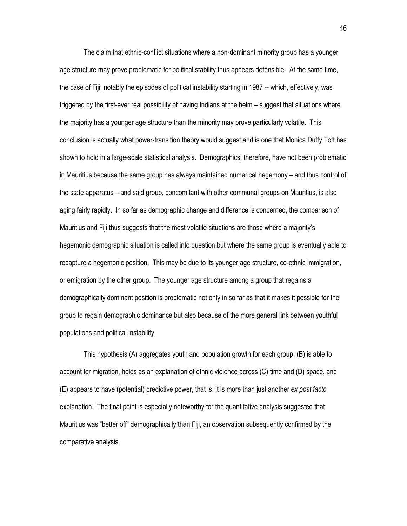The claim that ethnic-conflict situations where a non-dominant minority group has a younger age structure may prove problematic for political stability thus appears defensible. At the same time, the case of Fiji, notably the episodes of political instability starting in 1987 -- which, effectively, was triggered by the first-ever real possibility of having Indians at the helm – suggest that situations where the majority has a younger age structure than the minority may prove particularly volatile. This conclusion is actually what power-transition theory would suggest and is one that Monica Duffy Toft has shown to hold in a large-scale statistical analysis. Demographics, therefore, have not been problematic in Mauritius because the same group has always maintained numerical hegemony – and thus control of the state apparatus – and said group, concomitant with other communal groups on Mauritius, is also aging fairly rapidly. In so far as demographic change and difference is concerned, the comparison of Mauritius and Fiji thus suggests that the most volatile situations are those where a majority's hegemonic demographic situation is called into question but where the same group is eventually able to recapture a hegemonic position. This may be due to its younger age structure, co-ethnic immigration, or emigration by the other group. The younger age structure among a group that regains a demographically dominant position is problematic not only in so far as that it makes it possible for the group to regain demographic dominance but also because of the more general link between youthful populations and political instability.

This hypothesis (A) aggregates youth and population growth for each group, (B) is able to account for migration, holds as an explanation of ethnic violence across (C) time and (D) space, and (E) appears to have (potential) predictive power, that is, it is more than just another *ex post facto* explanation. The final point is especially noteworthy for the quantitative analysis suggested that Mauritius was "better off" demographically than Fiji, an observation subsequently confirmed by the comparative analysis.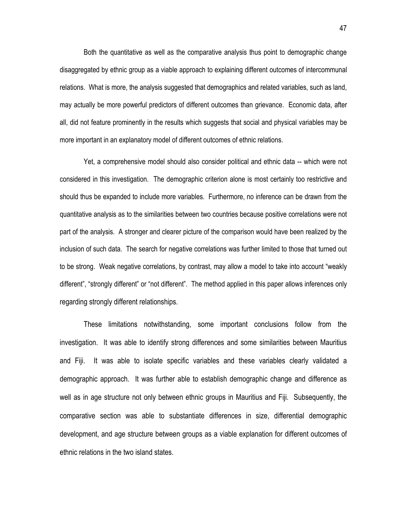Both the quantitative as well as the comparative analysis thus point to demographic change disaggregated by ethnic group as a viable approach to explaining different outcomes of intercommunal relations. What is more, the analysis suggested that demographics and related variables, such as land, may actually be more powerful predictors of different outcomes than grievance. Economic data, after all, did not feature prominently in the results which suggests that social and physical variables may be more important in an explanatory model of different outcomes of ethnic relations.

Yet, a comprehensive model should also consider political and ethnic data -- which were not considered in this investigation. The demographic criterion alone is most certainly too restrictive and should thus be expanded to include more variables. Furthermore, no inference can be drawn from the quantitative analysis as to the similarities between two countries because positive correlations were not part of the analysis. A stronger and clearer picture of the comparison would have been realized by the inclusion of such data. The search for negative correlations was further limited to those that turned out to be strong. Weak negative correlations, by contrast, may allow a model to take into account "weakly different", "strongly different" or "not different". The method applied in this paper allows inferences only regarding strongly different relationships.

These limitations notwithstanding, some important conclusions follow from the investigation. It was able to identify strong differences and some similarities between Mauritius and Fiji. It was able to isolate specific variables and these variables clearly validated a demographic approach. It was further able to establish demographic change and difference as well as in age structure not only between ethnic groups in Mauritius and Fiji. Subsequently, the comparative section was able to substantiate differences in size, differential demographic development, and age structure between groups as a viable explanation for different outcomes of ethnic relations in the two island states.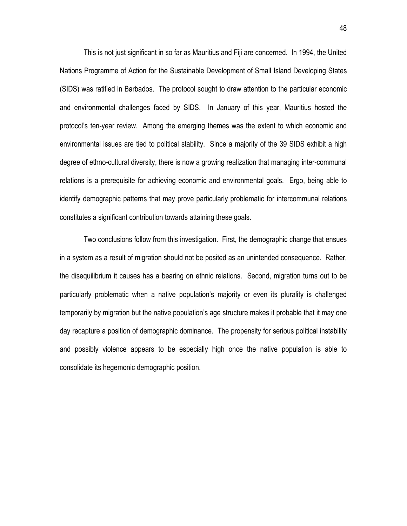This is not just significant in so far as Mauritius and Fiji are concerned. In 1994, the United Nations Programme of Action for the Sustainable Development of Small Island Developing States (SIDS) was ratified in Barbados. The protocol sought to draw attention to the particular economic and environmental challenges faced by SIDS. In January of this year, Mauritius hosted the protocol's ten-year review. Among the emerging themes was the extent to which economic and environmental issues are tied to political stability. Since a majority of the 39 SIDS exhibit a high degree of ethno-cultural diversity, there is now a growing realization that managing inter-communal relations is a prerequisite for achieving economic and environmental goals. Ergo, being able to identify demographic patterns that may prove particularly problematic for intercommunal relations constitutes a significant contribution towards attaining these goals.

Two conclusions follow from this investigation. First, the demographic change that ensues in a system as a result of migration should not be posited as an unintended consequence. Rather, the disequilibrium it causes has a bearing on ethnic relations. Second, migration turns out to be particularly problematic when a native population's majority or even its plurality is challenged temporarily by migration but the native population's age structure makes it probable that it may one day recapture a position of demographic dominance. The propensity for serious political instability and possibly violence appears to be especially high once the native population is able to consolidate its hegemonic demographic position.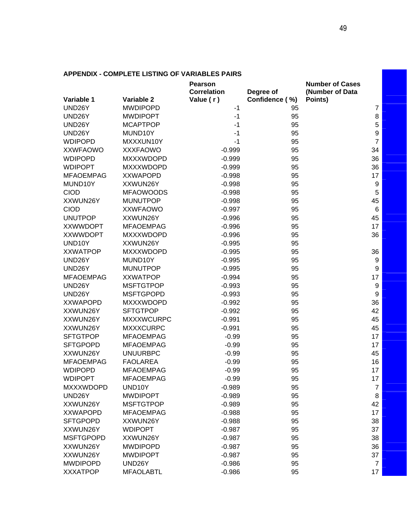|                                     | <b>Pearson</b>     |                | <b>Number of Cases</b> |
|-------------------------------------|--------------------|----------------|------------------------|
|                                     | <b>Correlation</b> | Degree of      | (Number of Data        |
| Variable 2<br>Variable 1            | Value (r)          | Confidence (%) | Points)                |
| UND26Y<br><b>MWDIPOPD</b>           |                    | -1<br>95       | $\overline{7}$         |
| UND26Y<br><b>MWDIPOPT</b>           |                    | 95<br>$-1$     | 8                      |
| UND26Y<br><b>MCAPTPOP</b>           |                    | 95<br>$-1$     | 5                      |
| UND26Y<br>MUND10Y                   |                    | 95<br>$-1$     | 9                      |
| <b>WDIPOPD</b><br>MXXXUN10Y         |                    | 95<br>$-1$     | $\overline{7}$         |
| <b>XXWFAOWO</b><br><b>XXXFAOWO</b>  | $-0.999$           | 95             | 34                     |
| <b>WDIPOPD</b><br><b>MXXXWDOPD</b>  | $-0.999$           | 95             | 36                     |
| <b>WDIPOPT</b><br><b>MXXXWDOPD</b>  | $-0.999$           | 95             | 36                     |
| <b>MFAOEMPAG</b><br><b>XXWAPOPD</b> | $-0.998$           | 95             | 17                     |
| MUND10Y<br>XXWUN26Y                 | $-0.998$           | 95             | 9                      |
| <b>CIOD</b><br><b>MFAOWOODS</b>     | $-0.998$           | 95             | 5                      |
| XXWUN26Y<br><b>MUNUTPOP</b>         | $-0.998$           | 95             | 45                     |
| <b>CIOD</b><br><b>XXWFAOWO</b>      | $-0.997$           | 95             | 6                      |
| <b>UNUTPOP</b><br>XXWUN26Y          | $-0.996$           | 95             | 45                     |
| <b>XXWWDOPT</b><br><b>MFAOEMPAG</b> | $-0.996$           | 95             | 17                     |
| <b>XXWWDOPT</b><br><b>MXXXWDOPD</b> | $-0.996$           | 95             | 36                     |
| XXWUN26Y<br>UND10Y                  | $-0.995$           | 95             |                        |
| <b>XXWATPOP</b><br><b>MXXXWDOPD</b> | $-0.995$           | 95             | 36                     |
| UND26Y<br>MUND10Y                   | $-0.995$           | 95             | 9                      |
| UND26Y<br><b>MUNUTPOP</b>           | $-0.995$           | 95             | 9                      |
| <b>MFAOEMPAG</b><br><b>XXWATPOP</b> | $-0.994$           | 95             | 17                     |
| <b>MSFTGTPOP</b><br>UND26Y          | $-0.993$           | 95             | $\boldsymbol{9}$       |
| UND26Y<br><b>MSFTGPOPD</b>          | $-0.993$           | 95             | $\boldsymbol{9}$       |
| <b>XXWAPOPD</b><br><b>MXXXWDOPD</b> | $-0.992$           | 95             | 36                     |
| XXWUN26Y<br><b>SFTGTPOP</b>         | $-0.992$           | 95             | 42                     |
| XXWUN26Y<br><b>MXXXWCURPC</b>       | $-0.991$           | 95             | 45                     |
| <b>MXXXCURPC</b><br>XXWUN26Y        | $-0.991$           | 95             | 45                     |
| <b>SFTGTPOP</b><br><b>MFAOEMPAG</b> |                    | $-0.99$<br>95  | 17                     |
| <b>SFTGPOPD</b><br><b>MFAOEMPAG</b> |                    | $-0.99$<br>95  | 17                     |
| XXWUN26Y<br><b>UNUURBPC</b>         |                    | $-0.99$<br>95  | 45                     |
| <b>MFAOEMPAG</b><br><b>FAOLAREA</b> |                    | $-0.99$<br>95  | 16                     |
| <b>WDIPOPD</b><br><b>MFAOEMPAG</b>  |                    | 95<br>$-0.99$  | 17                     |
| <b>WDIPOPT</b><br><b>MFAOEMPAG</b>  |                    | $-0.99$<br>95  | 17                     |
| <b>MXXXWDOPD</b><br>UND10Y          | $-0.989$           | 95             | 7                      |
| UND26Y<br><b>MWDIPOPT</b>           | $-0.989$           | 95             | 8                      |
| XXWUN26Y<br><b>MSFTGTPOP</b>        | $-0.989$           | 95             | 42                     |
| <b>XXWAPOPD</b><br><b>MFAOEMPAG</b> | $-0.988$           | 95             | 17                     |
| <b>SFTGPOPD</b><br>XXWUN26Y         | $-0.988$           | 95             | 38                     |
| XXWUN26Y<br><b>WDIPOPT</b>          | $-0.987$           | 95             | 37                     |
| <b>MSFTGPOPD</b><br>XXWUN26Y        | $-0.987$           | 95             | 38                     |
| XXWUN26Y<br><b>MWDIPOPD</b>         | $-0.987$           | 95             | 36                     |
| XXWUN26Y<br><b>MWDIPOPT</b>         | $-0.987$           | 95             | 37                     |
| <b>MWDIPOPD</b><br>UND26Y           | $-0.986$           | 95             | $\overline{7}$         |
| <b>XXXATPOP</b><br><b>MFAOLABTL</b> | $-0.986$           | 95             | 17                     |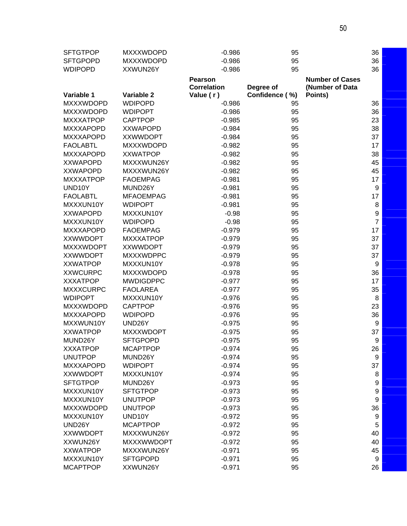| <b>SFTGTPOP</b>  | <b>MXXXWDOPD</b>  | $-0.986$           | 95             |                        | 36             |
|------------------|-------------------|--------------------|----------------|------------------------|----------------|
| <b>SFTGPOPD</b>  | <b>MXXXWDOPD</b>  | $-0.986$           | 95             |                        | 36             |
| <b>WDIPOPD</b>   | XXWUN26Y          | $-0.986$           | 95             |                        | 36             |
|                  |                   | <b>Pearson</b>     |                | <b>Number of Cases</b> |                |
|                  |                   | <b>Correlation</b> | Degree of      | (Number of Data        |                |
| Variable 1       | Variable 2        | Value (r)          | Confidence (%) | Points)                |                |
| <b>MXXXWDOPD</b> | <b>WDIPOPD</b>    | $-0.986$           | 95             |                        | 36             |
| <b>MXXXWDOPD</b> | <b>WDIPOPT</b>    | $-0.986$           | 95             |                        | 36             |
| <b>MXXXATPOP</b> | <b>CAPTPOP</b>    | $-0.985$           | 95             |                        | 23             |
| <b>MXXXAPOPD</b> | <b>XXWAPOPD</b>   | $-0.984$           | 95             |                        | 38             |
| <b>MXXXAPOPD</b> | <b>XXWWDOPT</b>   | $-0.984$           | 95             |                        | 37             |
| <b>FAOLABTL</b>  | <b>MXXXWDOPD</b>  | $-0.982$           | 95             |                        | 17             |
| <b>MXXXAPOPD</b> | <b>XXWATPOP</b>   | $-0.982$           | 95             |                        | 38             |
| <b>XXWAPOPD</b>  | MXXXWUN26Y        | $-0.982$           | 95             |                        | 45             |
| <b>XXWAPOPD</b>  | MXXXWUN26Y        | $-0.982$           | 95             |                        | 45             |
| <b>MXXXATPOP</b> | <b>FAOEMPAG</b>   | $-0.981$           | 95             |                        | 17             |
| UND10Y           | MUND26Y           | $-0.981$           | 95             |                        | 9              |
| <b>FAOLABTL</b>  | <b>MFAOEMPAG</b>  | $-0.981$           | 95             |                        | 17             |
| MXXXUN10Y        | <b>WDIPOPT</b>    | $-0.981$           | 95             |                        | 8              |
| <b>XXWAPOPD</b>  | MXXXUN10Y         | $-0.98$            | 95             |                        | 9              |
| MXXXUN10Y        | <b>WDIPOPD</b>    | $-0.98$            | 95             |                        | $\overline{7}$ |
| <b>MXXXAPOPD</b> | <b>FAOEMPAG</b>   | $-0.979$           | 95             |                        | 17             |
| <b>XXWWDOPT</b>  | <b>MXXXATPOP</b>  | $-0.979$           | 95             |                        | 37             |
| <b>MXXXWDOPT</b> | <b>XXWWDOPT</b>   | $-0.979$           | 95             |                        | 37             |
| <b>XXWWDOPT</b>  | <b>MXXXWDPPC</b>  | $-0.979$           | 95             |                        | 37             |
| <b>XXWATPOP</b>  | MXXXUN10Y         | $-0.978$           | 95             |                        | 9              |
| <b>XXWCURPC</b>  | <b>MXXXWDOPD</b>  | $-0.978$           | 95             |                        | 36             |
| <b>XXXATPOP</b>  | <b>MWDIGDPPC</b>  | $-0.977$           | 95             |                        | 17             |
| <b>MXXXCURPC</b> | <b>FAOLAREA</b>   | $-0.977$           | 95             |                        | 35             |
| <b>WDIPOPT</b>   | MXXXUN10Y         | $-0.976$           | 95             |                        | 8              |
| <b>MXXXWDOPD</b> | <b>CAPTPOP</b>    | $-0.976$           | 95             |                        | 23             |
| <b>MXXXAPOPD</b> | <b>WDIPOPD</b>    | $-0.976$           | 95             |                        | 36             |
| MXXWUN10Y        | UND26Y            | $-0.975$           | 95             |                        | 9              |
| <b>XXWATPOP</b>  | <b>MXXXWDOPT</b>  | $-0.975$           | 95             |                        | 37             |
| MUND26Y          | <b>SFTGPOPD</b>   | $-0.975$           | 95             |                        | 9              |
| <b>XXXATPOP</b>  | <b>MCAPTPOP</b>   | $-0.974$           | 95             |                        | 26             |
| <b>UNUTPOP</b>   | MUND26Y           | $-0.974$           | 95             |                        | 9              |
| <b>MXXXAPOPD</b> | <b>WDIPOPT</b>    | $-0.974$           | 95             |                        | 37             |
| <b>XXWWDOPT</b>  | MXXXUN10Y         | $-0.974$           | 95             |                        | 8              |
| <b>SFTGTPOP</b>  | MUND26Y           | $-0.973$           | 95             |                        | 9              |
| MXXXUN10Y        | <b>SFTGTPOP</b>   | $-0.973$           | 95             |                        | 9              |
| MXXXUN10Y        | <b>UNUTPOP</b>    | $-0.973$           | 95             |                        | 9              |
| <b>MXXXWDOPD</b> | <b>UNUTPOP</b>    | $-0.973$           | 95             |                        | 36             |
| MXXXUN10Y        | UND10Y            | $-0.972$           | 95             |                        | 9              |
| UND26Y           | <b>MCAPTPOP</b>   | $-0.972$           | 95             |                        | 5              |
| <b>XXWWDOPT</b>  | MXXXWUN26Y        | $-0.972$           | 95             |                        | 40             |
| XXWUN26Y         | <b>MXXXWWDOPT</b> | $-0.972$           | 95             |                        | 40             |
| <b>XXWATPOP</b>  | MXXXWUN26Y        | $-0.971$           | 95             |                        | 45             |
| MXXXUN10Y        | <b>SFTGPOPD</b>   | $-0.971$           | 95             |                        | 9              |
| <b>MCAPTPOP</b>  | XXWUN26Y          | $-0.971$           | 95             |                        | 26             |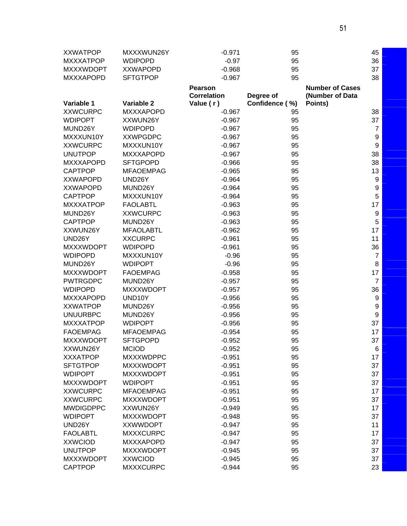| <b>XXWATPOP</b>  | MXXXWUN26Y       | $-0.971$           | 95             |                        | 45               |
|------------------|------------------|--------------------|----------------|------------------------|------------------|
| <b>MXXXATPOP</b> | <b>WDIPOPD</b>   | $-0.97$            | 95             |                        | 36               |
| <b>MXXXWDOPT</b> | <b>XXWAPOPD</b>  | $-0.968$           | 95             |                        | 37               |
| <b>MXXXAPOPD</b> | <b>SFTGTPOP</b>  | $-0.967$           | 95             |                        | 38               |
|                  |                  | <b>Pearson</b>     |                | <b>Number of Cases</b> |                  |
|                  |                  | <b>Correlation</b> | Degree of      | (Number of Data        |                  |
| Variable 1       | Variable 2       | Value (r)          | Confidence (%) | Points)                |                  |
| <b>XXWCURPC</b>  | <b>MXXXAPOPD</b> | $-0.967$           | 95             |                        | 38               |
| <b>WDIPOPT</b>   | XXWUN26Y         | $-0.967$           | 95             |                        | 37               |
| MUND26Y          | <b>WDIPOPD</b>   | $-0.967$           | 95             |                        | $\overline{7}$   |
| MXXXUN10Y        | <b>XXWPGDPC</b>  | $-0.967$           | 95             |                        | 9                |
| <b>XXWCURPC</b>  | MXXXUN10Y        | $-0.967$           | 95             |                        | $\boldsymbol{9}$ |
| <b>UNUTPOP</b>   | <b>MXXXAPOPD</b> | $-0.967$           | 95             |                        | 38               |
| <b>MXXXAPOPD</b> | <b>SFTGPOPD</b>  | $-0.966$           | 95             |                        | 38               |
| <b>CAPTPOP</b>   | <b>MFAOEMPAG</b> | $-0.965$           | 95             |                        | 13               |
| <b>XXWAPOPD</b>  | UND26Y           | $-0.964$           | 95             |                        | $\boldsymbol{9}$ |
| <b>XXWAPOPD</b>  | MUND26Y          | $-0.964$           | 95             |                        | 9                |
| <b>CAPTPOP</b>   | MXXXUN10Y        | $-0.964$           | 95             |                        | 5                |
| <b>MXXXATPOP</b> | <b>FAOLABTL</b>  | $-0.963$           | 95             |                        | 17               |
| MUND26Y          | <b>XXWCURPC</b>  | $-0.963$           | 95             |                        | $\boldsymbol{9}$ |
| <b>CAPTPOP</b>   | MUND26Y          | $-0.963$           | 95             |                        | 5                |
| XXWUN26Y         | <b>MFAOLABTL</b> | $-0.962$           | 95             |                        | 17               |
| UND26Y           | <b>XXCURPC</b>   | $-0.961$           | 95             |                        | 11               |
| <b>MXXXWDOPT</b> | <b>WDIPOPD</b>   | $-0.961$           | 95             |                        | 36               |
| <b>WDIPOPD</b>   | MXXXUN10Y        | $-0.96$            | 95             |                        | $\overline{7}$   |
| MUND26Y          | <b>WDIPOPT</b>   | $-0.96$            | 95             |                        | 8                |
| <b>MXXXWDOPT</b> | <b>FAOEMPAG</b>  | $-0.958$           | 95             |                        | 17               |
| <b>PWTRGDPC</b>  | MUND26Y          | $-0.957$           | 95             |                        | $\overline{7}$   |
| <b>WDIPOPD</b>   | <b>MXXXWDOPT</b> | $-0.957$           | 95             |                        | 36               |
| <b>MXXXAPOPD</b> | UND10Y           | $-0.956$           | 95             |                        | 9                |
| <b>XXWATPOP</b>  | MUND26Y          | $-0.956$           | 95             |                        | 9                |
| <b>UNUURBPC</b>  | MUND26Y          | $-0.956$           | 95             |                        | $\boldsymbol{9}$ |
| <b>MXXXATPOP</b> | <b>WDIPOPT</b>   | $-0.956$           | 95             |                        | 37               |
| <b>FAOEMPAG</b>  | <b>MFAOEMPAG</b> | $-0.954$           | 95             |                        | 17               |
| <b>MXXXWDOPT</b> | <b>SFTGPOPD</b>  | $-0.952$           | 95             |                        | 37               |
| XXWUN26Y         | <b>MCIOD</b>     | $-0.952$           | 95             |                        | 6                |
| <b>XXXATPOP</b>  | <b>MXXXWDPPC</b> | $-0.951$           | 95             |                        | 17               |
| <b>SFTGTPOP</b>  | <b>MXXXWDOPT</b> | $-0.951$           | 95             |                        | 37               |
| <b>WDIPOPT</b>   | <b>MXXXWDOPT</b> | $-0.951$           | 95             |                        | 37               |
| <b>MXXXWDOPT</b> | <b>WDIPOPT</b>   | $-0.951$           | 95             |                        | 37               |
| <b>XXWCURPC</b>  | <b>MFAOEMPAG</b> | $-0.951$           | 95             |                        | 17               |
| <b>XXWCURPC</b>  | <b>MXXXWDOPT</b> | $-0.951$           | 95             |                        | 37               |
| <b>MWDIGDPPC</b> | XXWUN26Y         | $-0.949$           | 95             |                        | 17               |
| <b>WDIPOPT</b>   | <b>MXXXWDOPT</b> | $-0.948$           | 95             |                        | 37               |
| UND26Y           | <b>XXWWDOPT</b>  | $-0.947$           | 95             |                        | 11               |
| <b>FAOLABTL</b>  | <b>MXXXCURPC</b> | $-0.947$           | 95             |                        | 17               |
| <b>XXWCIOD</b>   | <b>MXXXAPOPD</b> | $-0.947$           | 95             |                        | 37               |
| <b>UNUTPOP</b>   | <b>MXXXWDOPT</b> | $-0.945$           | 95             |                        | 37               |
| <b>MXXXWDOPT</b> | <b>XXWCIOD</b>   | $-0.945$           | 95             |                        | 37               |
| <b>CAPTPOP</b>   | <b>MXXXCURPC</b> | $-0.944$           | 95             |                        | 23               |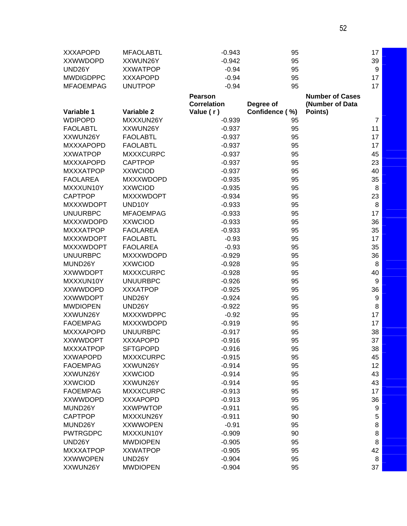| <b>XXXAPOPD</b>  | <b>MFAOLABTL</b> | $-0.943$           | 95             |                        | 17               |
|------------------|------------------|--------------------|----------------|------------------------|------------------|
| <b>XXWWDOPD</b>  | XXWUN26Y         | $-0.942$           | 95             |                        | 39               |
| UND26Y           | <b>XXWATPOP</b>  | $-0.94$            | 95             |                        | 9                |
| <b>MWDIGDPPC</b> | <b>XXXAPOPD</b>  | $-0.94$            | 95             |                        | 17               |
| <b>MFAOEMPAG</b> | <b>UNUTPOP</b>   | $-0.94$            | 95             |                        | 17               |
|                  |                  | <b>Pearson</b>     |                | <b>Number of Cases</b> |                  |
|                  |                  | <b>Correlation</b> | Degree of      | (Number of Data        |                  |
| Variable 1       | Variable 2       | Value (r)          | Confidence (%) | Points)                |                  |
| <b>WDIPOPD</b>   | MXXXUN26Y        | $-0.939$           | 95             |                        | $\overline{7}$   |
| <b>FAOLABTL</b>  | XXWUN26Y         | $-0.937$           | 95             |                        | 11               |
| XXWUN26Y         | <b>FAOLABTL</b>  | $-0.937$           | 95             |                        | 17               |
| <b>MXXXAPOPD</b> | <b>FAOLABTL</b>  | $-0.937$           | 95             |                        | 17               |
| <b>XXWATPOP</b>  | <b>MXXXCURPC</b> | $-0.937$           | 95             |                        | 45               |
| <b>MXXXAPOPD</b> | <b>CAPTPOP</b>   | $-0.937$           | 95             |                        | 23               |
| <b>MXXXATPOP</b> | <b>XXWCIOD</b>   | $-0.937$           | 95             |                        | 40               |
| <b>FAOLAREA</b>  | <b>MXXXWDOPD</b> | $-0.935$           | 95             |                        | 35               |
| MXXXUN10Y        | <b>XXWCIOD</b>   | $-0.935$           | 95             |                        | 8                |
| <b>CAPTPOP</b>   | <b>MXXXWDOPT</b> | $-0.934$           | 95             |                        | 23               |
| <b>MXXXWDOPT</b> | UND10Y           | $-0.933$           | 95             |                        | 8                |
| <b>UNUURBPC</b>  | <b>MFAOEMPAG</b> | $-0.933$           | 95             |                        | 17               |
| <b>MXXXWDOPD</b> | <b>XXWCIOD</b>   | $-0.933$           | 95             |                        | 36               |
| <b>MXXXATPOP</b> | <b>FAOLAREA</b>  | $-0.933$           | 95             |                        | 35               |
| <b>MXXXWDOPT</b> | <b>FAOLABTL</b>  | $-0.93$            | 95             |                        | 17               |
| <b>MXXXWDOPT</b> | <b>FAOLAREA</b>  | $-0.93$            | 95             |                        | 35               |
| <b>UNUURBPC</b>  | <b>MXXXWDOPD</b> | $-0.929$           | 95             |                        | 36               |
| MUND26Y          | <b>XXWCIOD</b>   | $-0.928$           | 95             |                        | 8                |
| <b>XXWWDOPT</b>  | <b>MXXXCURPC</b> | $-0.928$           | 95             |                        | 40               |
| MXXXUN10Y        | <b>UNUURBPC</b>  | $-0.926$           | 95             |                        | $\boldsymbol{9}$ |
| <b>XXWWDOPD</b>  | <b>XXXATPOP</b>  | $-0.925$           | 95             |                        | 36               |
| <b>XXWWDOPT</b>  | UND26Y           | $-0.924$           | 95             |                        | 9                |
| <b>MWDIOPEN</b>  | UND26Y           | $-0.922$           | 95             |                        | 8                |
| XXWUN26Y         | <b>MXXXWDPPC</b> | $-0.92$            | 95             |                        | 17               |
| <b>FAOEMPAG</b>  | <b>MXXXWDOPD</b> | $-0.919$           | 95             |                        | 17               |
| <b>MXXXAPOPD</b> | <b>UNUURBPC</b>  | $-0.917$           | 95             |                        | 38               |
| <b>XXWWDOPT</b>  | <b>XXXAPOPD</b>  | $-0.916$           | 95             |                        | 37               |
| <b>MXXXATPOP</b> | <b>SFTGPOPD</b>  | $-0.916$           | 95             |                        | 38               |
| <b>XXWAPOPD</b>  | <b>MXXXCURPC</b> | $-0.915$           | 95             |                        | 45               |
| <b>FAOEMPAG</b>  | XXWUN26Y         | $-0.914$           | 95             |                        | 12               |
| XXWUN26Y         | <b>XXWCIOD</b>   | $-0.914$           | 95             |                        | 43               |
| <b>XXWCIOD</b>   | XXWUN26Y         | $-0.914$           | 95             |                        | 43               |
| <b>FAOEMPAG</b>  | <b>MXXXCURPC</b> | $-0.913$           | 95             |                        | 17               |
| <b>XXWWDOPD</b>  | <b>XXXAPOPD</b>  | $-0.913$           | 95             |                        | 36               |
| MUND26Y          | <b>XXWPWTOP</b>  | $-0.911$           | 95             |                        | 9                |
| <b>CAPTPOP</b>   | MXXXUN26Y        | $-0.911$           | 90             |                        | 5                |
| MUND26Y          | <b>XXWWOPEN</b>  | $-0.91$            | 95             |                        | 8                |
| <b>PWTRGDPC</b>  | MXXXUN10Y        | $-0.909$           | 90             |                        | 8                |
| UND26Y           | <b>MWDIOPEN</b>  | $-0.905$           | 95             |                        | 8                |
| <b>MXXXATPOP</b> | <b>XXWATPOP</b>  | $-0.905$           | 95             |                        | 42               |
| <b>XXWWOPEN</b>  | UND26Y           | $-0.904$           | 95             |                        | 8                |
| XXWUN26Y         | <b>MWDIOPEN</b>  | $-0.904$           | 95             |                        | 37               |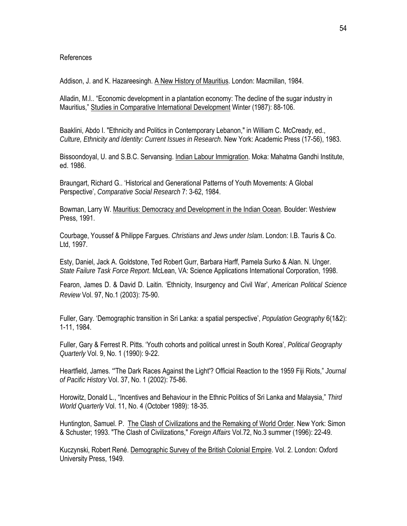#### References

Addison, J. and K. Hazareesingh. A New History of Mauritius. London: Macmillan, 1984.

Alladin, M.I.. "Economic development in a plantation economy: The decline of the sugar industry in Mauritius," Studies in Comparative International Development Winter (1987): 88-106.

Baaklini, Abdo I. "Ethnicity and Politics in Contemporary Lebanon," in William C. McCready, ed., *Culture, Ethnicity and Identity: Current Issues in Research*. New York: Academic Press (17-56), 1983.

Bissoondoyal, U. and S.B.C. Servansing. Indian Labour Immigration. Moka: Mahatma Gandhi Institute, ed. 1986.

Braungart, Richard G.. 'Historical and Generational Patterns of Youth Movements: A Global Perspective', *Comparative Social Research* 7: 3-62, 1984.

Bowman, Larry W. Mauritius: Democracy and Development in the Indian Ocean. Boulder: Westview Press, 1991.

Courbage, Youssef & Philippe Fargues. *Christians and Jews under Islam*. London: I.B. Tauris & Co. Ltd, 1997.

Esty, Daniel, Jack A. Goldstone, Ted Robert Gurr, Barbara Harff, Pamela Surko & Alan. N. Unger. *State Failure Task Force Report*. McLean, VA: Science Applications International Corporation, 1998.

Fearon, James D. & David D. Laitin. 'Ethnicity, Insurgency and Civil War', *American Political Science Review* Vol. 97, No.1 (2003): 75-90.

Fuller, Gary. 'Demographic transition in Sri Lanka: a spatial perspective', *Population Geography* 6(1&2): 1-11, 1984.

Fuller, Gary & Ferrest R. Pitts. 'Youth cohorts and political unrest in South Korea', *Political Geography Quarterly* Vol. 9, No. 1 (1990): 9-22.

Heartfield, James. "'The Dark Races Against the Light'? Official Reaction to the 1959 Fiji Riots," *Journal of Pacific History* Vol. 37, No. 1 (2002): 75-86.

Horowitz, Donald L., "Incentives and Behaviour in the Ethnic Politics of Sri Lanka and Malaysia," *Third World Quarterly* Vol. 11, No. 4 (October 1989): 18-35.

Huntington, Samuel. P. The Clash of Civilizations and the Remaking of World Order. New York: Simon & Schuster; 1993. "The Clash of Civilizations," *Foreign Affairs* Vol.72, No.3 summer (1996): 22-49.

Kuczynski, Robert René. Demographic Survey of the British Colonial Empire. Vol. 2. London: Oxford University Press, 1949.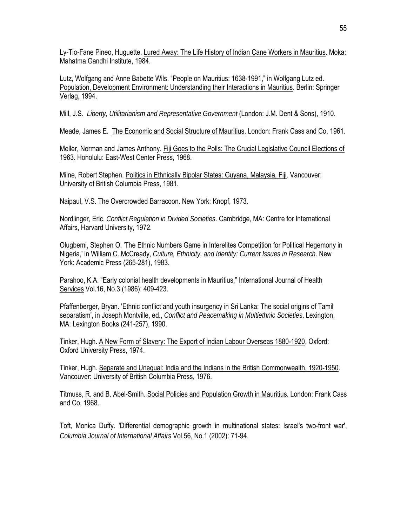Ly-Tio-Fane Pineo, Huguette. Lured Away: The Life History of Indian Cane Workers in Mauritius. Moka: Mahatma Gandhi Institute, 1984.

Lutz, Wolfgang and Anne Babette Wils. "People on Mauritius: 1638-1991," in Wolfgang Lutz ed. Population, Development Environment: Understanding their Interactions in Mauritius. Berlin: Springer Verlag, 1994.

Mill, J.S. *Liberty, Utilitarianism and Representative Government* (London: J.M. Dent & Sons), 1910.

Meade, James E. The Economic and Social Structure of Mauritius. London: Frank Cass and Co, 1961.

Meller, Norman and James Anthony. Fiji Goes to the Polls: The Crucial Legislative Council Elections of 1963. Honolulu: East-West Center Press, 1968.

Milne, Robert Stephen. Politics in Ethnically Bipolar States: Guyana, Malaysia, Fiji. Vancouver: University of British Columbia Press, 1981.

Naipaul, V.S. The Overcrowded Barracoon. New York: Knopf, 1973.

Nordlinger, Eric. *Conflict Regulation in Divided Societies*. Cambridge, MA: Centre for International Affairs, Harvard University, 1972.

Olugbemi, Stephen O. 'The Ethnic Numbers Game in Interelites Competition for Political Hegemony in Nigeria,' in William C. McCready, *Culture, Ethnicity, and Identity: Current Issues in Research*. New York: Academic Press (265-281), 1983.

Parahoo, K.A. "Early colonial health developments in Mauritius," International Journal of Health Services Vol.16, No.3 (1986): 409-423.

Pfaffenberger, Bryan. 'Ethnic conflict and youth insurgency in Sri Lanka: The social origins of Tamil separatism', in Joseph Montville, ed., *Conflict and Peacemaking in Multiethnic Societies*. Lexington, MA: Lexington Books (241-257), 1990.

Tinker, Hugh. A New Form of Slavery: The Export of Indian Labour Overseas 1880-1920. Oxford: Oxford University Press, 1974.

Tinker, Hugh. Separate and Unequal: India and the Indians in the British Commonwealth, 1920-1950. Vancouver: University of British Columbia Press, 1976.

Titmuss, R. and B. Abel-Smith. Social Policies and Population Growth in Mauritius. London: Frank Cass and Co, 1968.

Toft, Monica Duffy. 'Differential demographic growth in multinational states: Israel's two-front war', *Columbia Journal of International Affairs* Vol.56, No.1 (2002): 71-94.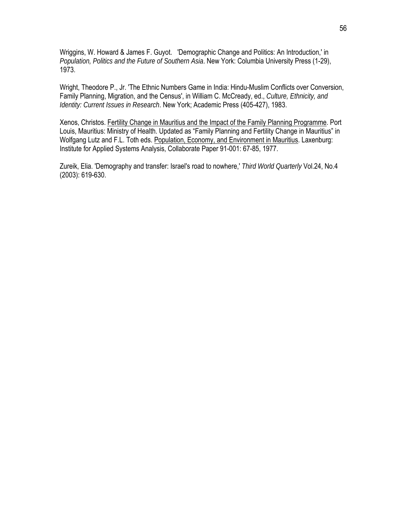Wriggins, W. Howard & James F. Guyot. 'Demographic Change and Politics: An Introduction,' in *Population, Politics and the Future of Southern Asia*. New York: Columbia University Press (1-29), 1973.

Wright, Theodore P., Jr. 'The Ethnic Numbers Game in India: Hindu-Muslim Conflicts over Conversion, Family Planning, Migration, and the Census', in William C. McCready, ed., *Culture, Ethnicity, and Identity: Current Issues in Research*. New York; Academic Press (405-427), 1983.

Xenos, Christos. Fertility Change in Mauritius and the Impact of the Family Planning Programme. Port Louis, Mauritius: Ministry of Health. Updated as "Family Planning and Fertility Change in Mauritius" in Wolfgang Lutz and F.L. Toth eds. Population, Economy, and Environment in Mauritius. Laxenburg: Institute for Applied Systems Analysis, Collaborate Paper 91-001: 67-85, 1977.

Zureik, Elia. 'Demography and transfer: Israel's road to nowhere,' *Third World Quarterly* Vol.24, No.4 (2003): 619-630.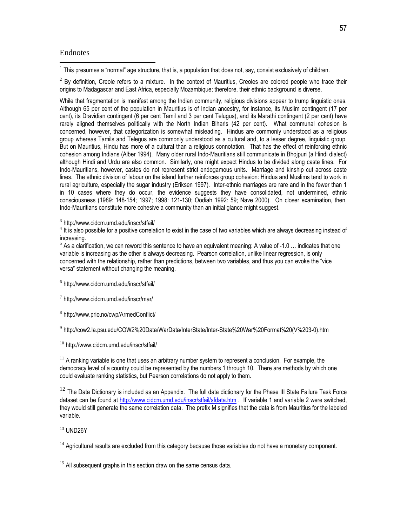#### **Endnotes**

 $\overline{a}$ 

 $1$  This presumes a "normal" age structure, that is, a population that does not, say, consist exclusively of children.

 $2$  By definition, Creole refers to a mixture. In the context of Mauritius, Creoles are colored people who trace their origins to Madagascar and East Africa, especially Mozambique; therefore, their ethnic background is diverse.

While that fragmentation is manifest among the Indian community, religious divisions appear to trump linguistic ones. Although 65 per cent of the population in Mauritius is of Indian ancestry, for instance, its Muslim contingent (17 per cent), its Dravidian contingent (6 per cent Tamil and 3 per cent Telugus), and its Marathi contingent (2 per cent) have rarely aligned themselves politically with the North Indian Biharis (42 per cent). What communal cohesion is concerned, however, that categorization is somewhat misleading. Hindus are commonly understood as a religious group whereas Tamils and Telegus are commonly understood as a cultural and, to a lesser degree, linguistic group. But on Mauritius, Hindu has more of a cultural than a religious connotation. That has the effect of reinforcing ethnic cohesion among Indians (Alber 1994). Many older rural Indo-Mauritians still communicate in Bhojpuri (a Hindi dialect) although Hindi and Urdu are also common. Similarly, one might expect Hindus to be divided along caste lines. For Indo-Mauritians, however, castes do not represent strict endogamous units. Marriage and kinship cut across caste lines. The ethnic division of labour on the island further reinforces group cohesion: Hindus and Muslims tend to work in rural agriculture, especially the sugar industry (Eriksen 1997). Inter-ethnic marriages are rare and in the fewer than 1 in 10 cases where they do occur, the evidence suggests they have consolidated, not undermined, ethnic consciousness (1989: 148-154; 1997; 1998: 121-130; Oodiah 1992: 59; Nave 2000). On closer examination, then, Indo-Mauritians constitute more cohesive a community than an initial glance might suggest.

<sup>3</sup> http://www.cidcm.umd.edu/inscr/stfail/

 $4$  It is also possible for a positive correlation to exist in the case of two variables which are always decreasing instead of increasing.

 $5$  As a clarification, we can reword this sentence to have an equivalent meaning: A value of -1.0  $\dots$  indicates that one variable is increasing as the other is always decreasing. Pearson correlation, unlike linear regression, is only concerned with the relationship, rather than predictions, between two variables, and thus you can evoke the "vice versa" statement without changing the meaning.

<sup>6</sup> http://www.cidcm.umd.edu/inscr/stfail/

 $7$  http://www.cidcm.umd.edu/inscr/mar/

<sup>8</sup> http://www.prio.no/cwp/ArmedConflict/

<sup>9</sup> http://cow2.la.psu.edu/COW2%20Data/WarData/InterState/Inter-State%20War%20Format%20(V%203-0).htm

<sup>10</sup> http://www.cidcm.umd.edu/inscr/stfail/

 $11$  A ranking variable is one that uses an arbitrary number system to represent a conclusion. For example, the democracy level of a country could be represented by the numbers 1 through 10. There are methods by which one could evaluate ranking statistics, but Pearson correlations do not apply to them.

 $12$  The Data Dictionary is included as an Appendix. The full data dictionary for the Phase III State Failure Task Force dataset can be found at http://www.cidcm.umd.edu/inscr/stfail/sfdata.htm . If variable 1 and variable 2 were switched, they would still generate the same correlation data. The prefix M signifies that the data is from Mauritius for the labeled variable.

 $13$  UND26Y

 $14$  Agricultural results are excluded from this category because those variables do not have a monetary component.

<sup>15</sup> All subsequent graphs in this section draw on the same census data.